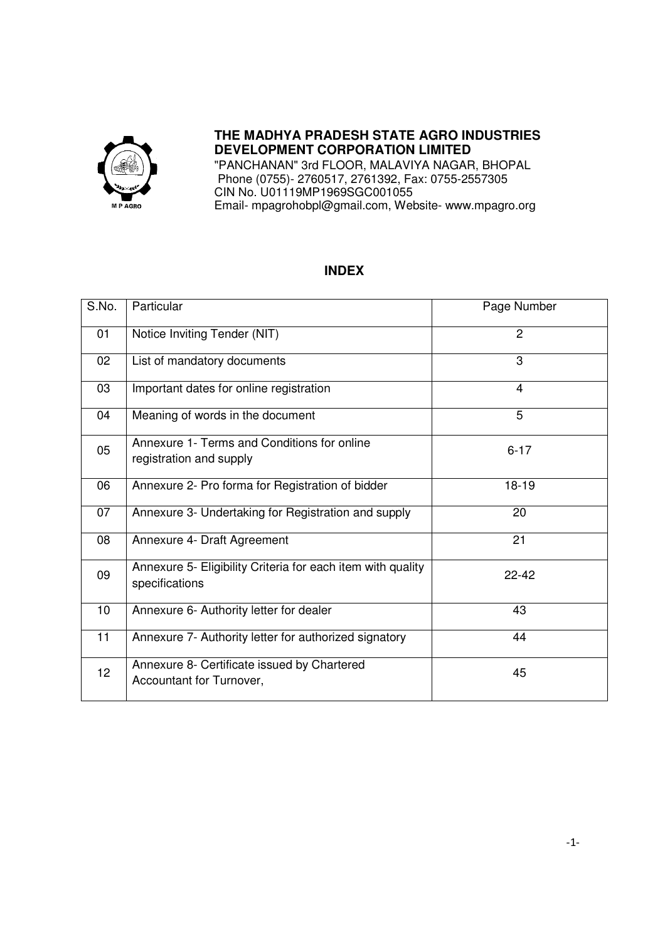

# **THE MADHYA PRADESH STATE AGRO INDUSTRIES DEVELOPMENT CORPORATION LIMITED**

"PANCHANAN" 3rd FLOOR, MALAVIYA NAGAR, BHOPAL Phone (0755)- 2760517, 2761392, Fax: 0755-2557305 CIN No. U01119MP1969SGC001055 Email- mpagrohobpl@gmail.com, Website- www.mpagro.org

#### **INDEX**

| S.No. | Particular                                                                    | Page Number    |
|-------|-------------------------------------------------------------------------------|----------------|
| 01    | Notice Inviting Tender (NIT)                                                  | $\overline{2}$ |
| 02    | List of mandatory documents                                                   | 3              |
| 03    | Important dates for online registration                                       | 4              |
| 04    | Meaning of words in the document                                              | 5              |
| 05    | Annexure 1- Terms and Conditions for online<br>registration and supply        | $6 - 17$       |
| 06    | Annexure 2- Pro forma for Registration of bidder                              | $18 - 19$      |
| 07    | Annexure 3- Undertaking for Registration and supply                           | 20             |
| 08    | Annexure 4- Draft Agreement                                                   | 21             |
| 09    | Annexure 5- Eligibility Criteria for each item with quality<br>specifications | $22 - 42$      |
| 10    | Annexure 6- Authority letter for dealer                                       | 43             |
| 11    | Annexure 7- Authority letter for authorized signatory                         | 44             |
| 12    | Annexure 8- Certificate issued by Chartered<br>Accountant for Turnover,       | 45             |

I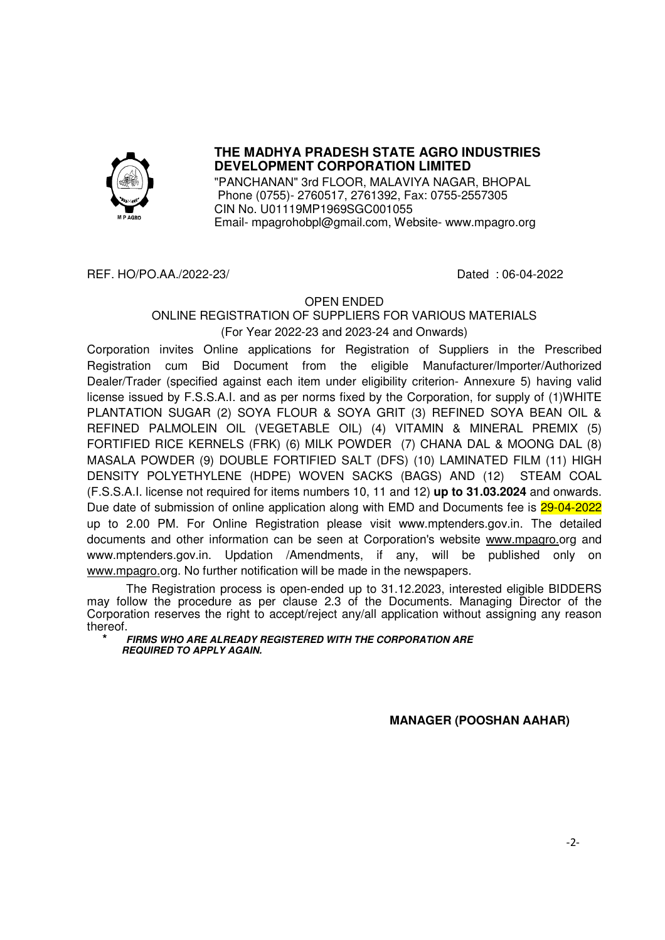

# **THE MADHYA PRADESH STATE AGRO INDUSTRIES DEVELOPMENT CORPORATION LIMITED**

"PANCHANAN" 3rd FLOOR, MALAVIYA NAGAR, BHOPAL Phone (0755)- 2760517, 2761392, Fax: 0755-2557305 CIN No. U01119MP1969SGC001055 Email- mpagrohobpl@gmail.com, Website- www.mpagro.org

#### REF. HO/PO.AA./2022-23/ Dated : 06-04-2022

#### OPEN ENDED

#### ONLINE REGISTRATION OF SUPPLIERS FOR VARIOUS MATERIALS (For Year 2022-23 and 2023-24 and Onwards)

Corporation invites Online applications for Registration of Suppliers in the Prescribed Registration cum Bid Document from the eligible Manufacturer/Importer/Authorized Dealer/Trader (specified against each item under eligibility criterion- Annexure 5) having valid license issued by F.S.S.A.I. and as per norms fixed by the Corporation, for supply of (1)WHITE PLANTATION SUGAR (2) SOYA FLOUR & SOYA GRIT (3) REFINED SOYA BEAN OIL & REFINED PALMOLEIN OIL (VEGETABLE OIL) (4) VITAMIN & MINERAL PREMIX (5) FORTIFIED RICE KERNELS (FRK) (6) MILK POWDER (7) CHANA DAL & MOONG DAL (8) MASALA POWDER (9) DOUBLE FORTIFIED SALT (DFS) (10) LAMINATED FILM (11) HIGH DENSITY POLYETHYLENE (HDPE) WOVEN SACKS (BAGS) AND (12) STEAM COAL (F.S.S.A.I. license not required for items numbers 10, 11 and 12) **up to 31.03.2024** and onwards. Due date of submission of online application along with EMD and Documents fee is 29-04-2022 up to 2.00 PM. For Online Registration please visit www.mptenders.gov.in. The detailed documents and other information can be seen at Corporation's website www.mpagro.org and www.mptenders.gov.in. Updation /Amendments, if any, will be published only on www.mpagro.org. No further notification will be made in the newspapers.

The Registration process is open-ended up to 31.12.2023, interested eligible BIDDERS may follow the procedure as per clause 2.3 of the Documents. Managing Director of the Corporation reserves the right to accept/reject any/all application without assigning any reason thereof.

**\* FIRMS WHO ARE ALREADY REGISTERED WITH THE CORPORATION ARE REQUIRED TO APPLY AGAIN.** 

**MANAGER (POOSHAN AAHAR)**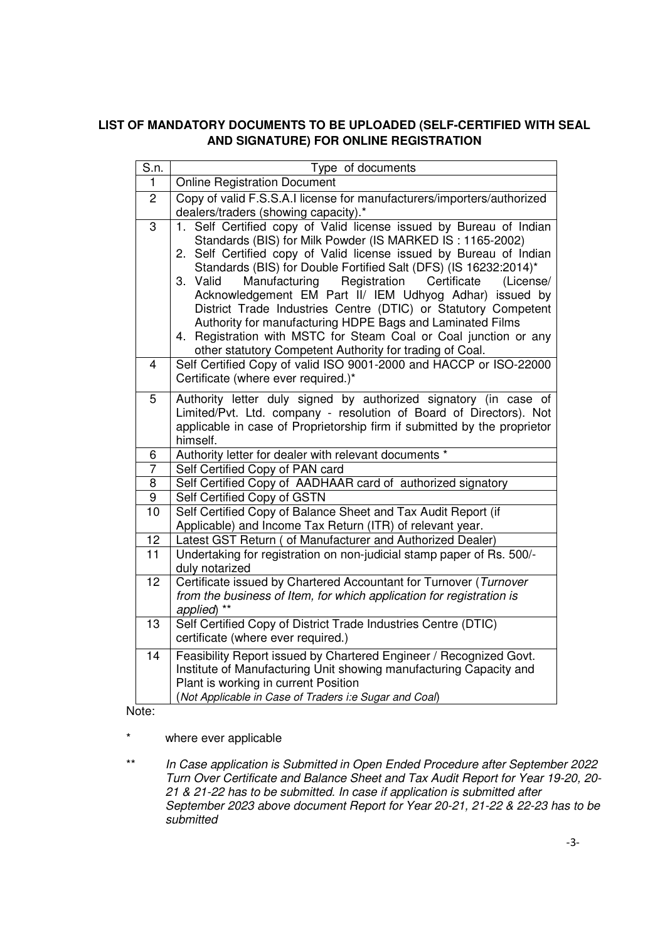## **LIST OF MANDATORY DOCUMENTS TO BE UPLOADED (SELF-CERTIFIED WITH SEAL AND SIGNATURE) FOR ONLINE REGISTRATION**

| S.n.           | Type of documents                                                                                                                                                                                                                                                                                                                                                                                                                                                                                                                                                                                                                                                            |  |  |  |  |
|----------------|------------------------------------------------------------------------------------------------------------------------------------------------------------------------------------------------------------------------------------------------------------------------------------------------------------------------------------------------------------------------------------------------------------------------------------------------------------------------------------------------------------------------------------------------------------------------------------------------------------------------------------------------------------------------------|--|--|--|--|
| $\mathbf{1}$   | <b>Online Registration Document</b>                                                                                                                                                                                                                                                                                                                                                                                                                                                                                                                                                                                                                                          |  |  |  |  |
| $\overline{c}$ | Copy of valid F.S.S.A.I license for manufacturers/importers/authorized                                                                                                                                                                                                                                                                                                                                                                                                                                                                                                                                                                                                       |  |  |  |  |
|                | dealers/traders (showing capacity).*                                                                                                                                                                                                                                                                                                                                                                                                                                                                                                                                                                                                                                         |  |  |  |  |
| $\overline{3}$ | 1. Self Certified copy of Valid license issued by Bureau of Indian<br>Standards (BIS) for Milk Powder (IS MARKED IS: 1165-2002)<br>2. Self Certified copy of Valid license issued by Bureau of Indian<br>Standards (BIS) for Double Fortified Salt (DFS) (IS 16232:2014)*<br>Registration<br>Certificate<br>3. Valid<br>Manufacturing<br>(License/<br>Acknowledgement EM Part II/ IEM Udhyog Adhar) issued by<br>District Trade Industries Centre (DTIC) or Statutory Competent<br>Authority for manufacturing HDPE Bags and Laminated Films<br>4. Registration with MSTC for Steam Coal or Coal junction or any<br>other statutory Competent Authority for trading of Coal. |  |  |  |  |
| $\overline{4}$ | Self Certified Copy of valid ISO 9001-2000 and HACCP or ISO-22000<br>Certificate (where ever required.)*                                                                                                                                                                                                                                                                                                                                                                                                                                                                                                                                                                     |  |  |  |  |
| 5              | Authority letter duly signed by authorized signatory (in case of<br>Limited/Pvt. Ltd. company - resolution of Board of Directors). Not<br>applicable in case of Proprietorship firm if submitted by the proprietor<br>himself.                                                                                                                                                                                                                                                                                                                                                                                                                                               |  |  |  |  |
| 6              | Authority letter for dealer with relevant documents *                                                                                                                                                                                                                                                                                                                                                                                                                                                                                                                                                                                                                        |  |  |  |  |
| $\overline{7}$ | Self Certified Copy of PAN card                                                                                                                                                                                                                                                                                                                                                                                                                                                                                                                                                                                                                                              |  |  |  |  |
| 8              | Self Certified Copy of AADHAAR card of authorized signatory                                                                                                                                                                                                                                                                                                                                                                                                                                                                                                                                                                                                                  |  |  |  |  |
| $\overline{9}$ | Self Certified Copy of GSTN                                                                                                                                                                                                                                                                                                                                                                                                                                                                                                                                                                                                                                                  |  |  |  |  |
| 10             | Self Certified Copy of Balance Sheet and Tax Audit Report (if<br>Applicable) and Income Tax Return (ITR) of relevant year.                                                                                                                                                                                                                                                                                                                                                                                                                                                                                                                                                   |  |  |  |  |
| 12             | Latest GST Return ( of Manufacturer and Authorized Dealer)                                                                                                                                                                                                                                                                                                                                                                                                                                                                                                                                                                                                                   |  |  |  |  |
| 11             | Undertaking for registration on non-judicial stamp paper of Rs. 500/-<br>duly notarized                                                                                                                                                                                                                                                                                                                                                                                                                                                                                                                                                                                      |  |  |  |  |
| 12             | Certificate issued by Chartered Accountant for Turnover (Turnover<br>from the business of Item, for which application for registration is<br>applied) **                                                                                                                                                                                                                                                                                                                                                                                                                                                                                                                     |  |  |  |  |
| 13             | Self Certified Copy of District Trade Industries Centre (DTIC)<br>certificate (where ever required.)                                                                                                                                                                                                                                                                                                                                                                                                                                                                                                                                                                         |  |  |  |  |
| 14<br>۱۵۱۵۰    | Feasibility Report issued by Chartered Engineer / Recognized Govt.<br>Institute of Manufacturing Unit showing manufacturing Capacity and<br>Plant is working in current Position<br>(Not Applicable in Case of Traders i:e Sugar and Coal)                                                                                                                                                                                                                                                                                                                                                                                                                                   |  |  |  |  |

Note:

\* where ever applicable

\*\* *In Case application is Submitted in Open Ended Procedure after September 2022 Turn Over Certificate and Balance Sheet and Tax Audit Report for Year 19-20, 20- 21 & 21-22 has to be submitted. In case if application is submitted after September 2023 above document Report for Year 20-21, 21-22 & 22-23 has to be submitted*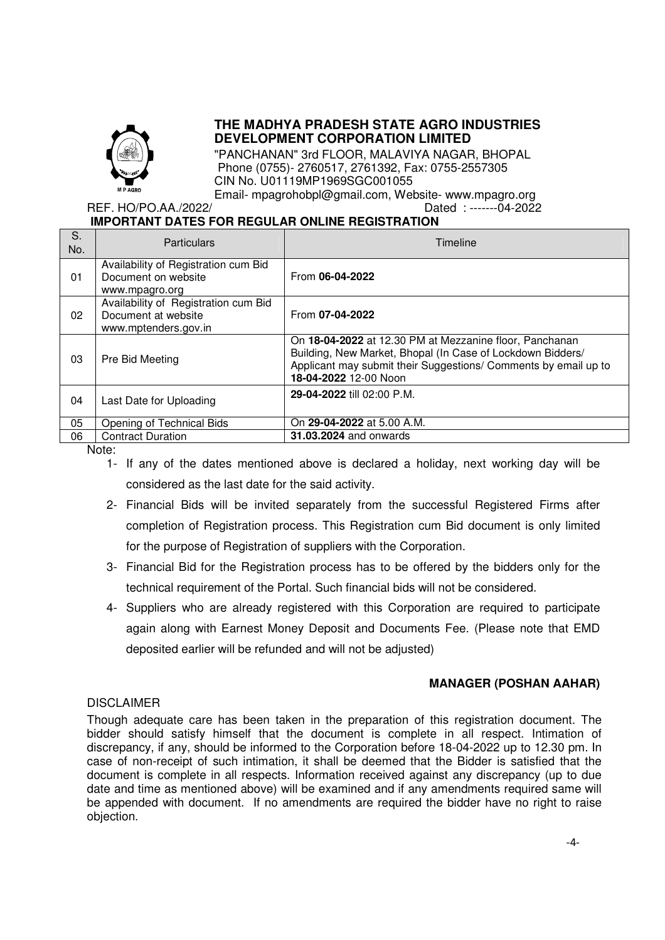

### **THE MADHYA PRADESH STATE AGRO INDUSTRIES DEVELOPMENT CORPORATION LIMITED**

"PANCHANAN" 3rd FLOOR, MALAVIYA NAGAR, BHOPAL Phone (0755)- 2760517, 2761392, Fax: 0755-2557305 CIN No. U01119MP1969SGC001055

Email- mpagrohobpl@gmail.com, Website- www.mpagro.org REF. HO/PO.AA./2022/ Dated : -------04-2022

# **IMPORTANT DATES FOR REGULAR ONLINE REGISTRATION**

| S.<br>No. | <b>Particulars</b>                                                                  | Timeline                                                                                                                                                                                                          |
|-----------|-------------------------------------------------------------------------------------|-------------------------------------------------------------------------------------------------------------------------------------------------------------------------------------------------------------------|
| 01        | Availability of Registration cum Bid<br>Document on website<br>www.mpagro.org       | From 06-04-2022                                                                                                                                                                                                   |
| 02        | Availability of Registration cum Bid<br>Document at website<br>www.mptenders.gov.in | From 07-04-2022                                                                                                                                                                                                   |
| 03        | Pre Bid Meeting                                                                     | On 18-04-2022 at 12.30 PM at Mezzanine floor, Panchanan<br>Building, New Market, Bhopal (In Case of Lockdown Bidders/<br>Applicant may submit their Suggestions/ Comments by email up to<br>18-04-2022 12-00 Noon |
| 04        | Last Date for Uploading                                                             | 29-04-2022 till 02:00 P.M.                                                                                                                                                                                        |
| 05        | Opening of Technical Bids                                                           | On 29-04-2022 at 5.00 A.M.                                                                                                                                                                                        |
| 06        | <b>Contract Duration</b>                                                            | <b>31.03.2024</b> and onwards                                                                                                                                                                                     |

Note:

- 1- If any of the dates mentioned above is declared a holiday, next working day will be considered as the last date for the said activity.
- 2- Financial Bids will be invited separately from the successful Registered Firms after completion of Registration process. This Registration cum Bid document is only limited for the purpose of Registration of suppliers with the Corporation.
- 3- Financial Bid for the Registration process has to be offered by the bidders only for the technical requirement of the Portal. Such financial bids will not be considered.
- 4- Suppliers who are already registered with this Corporation are required to participate again along with Earnest Money Deposit and Documents Fee. (Please note that EMD deposited earlier will be refunded and will not be adjusted)

#### **MANAGER (POSHAN AAHAR)**

#### DISCLAIMER

Though adequate care has been taken in the preparation of this registration document. The bidder should satisfy himself that the document is complete in all respect. Intimation of discrepancy, if any, should be informed to the Corporation before 18-04-2022 up to 12.30 pm. In case of non-receipt of such intimation, it shall be deemed that the Bidder is satisfied that the document is complete in all respects. Information received against any discrepancy (up to due date and time as mentioned above) will be examined and if any amendments required same will be appended with document. If no amendments are required the bidder have no right to raise objection.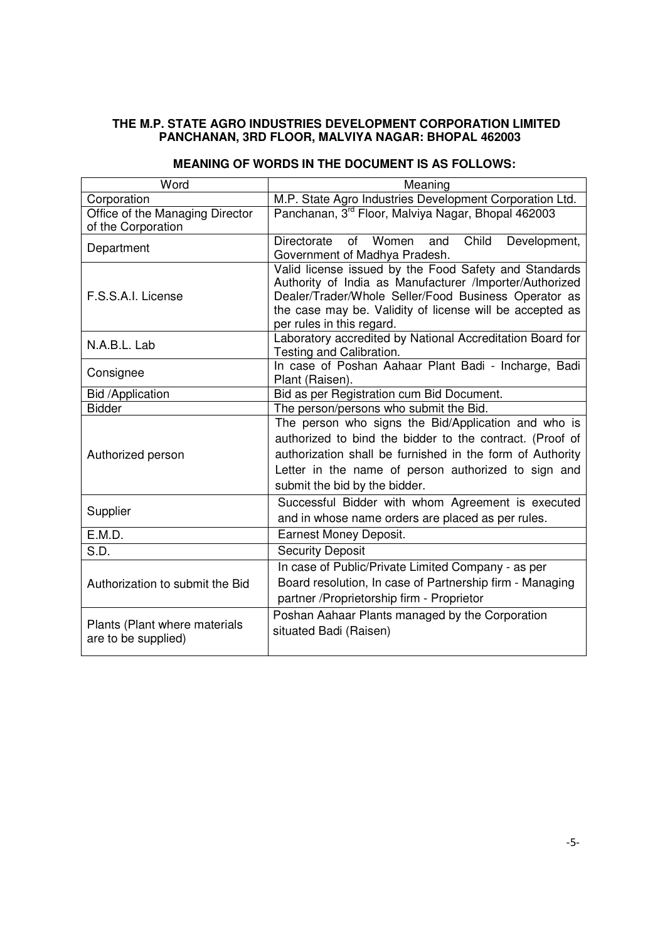#### **THE M.P. STATE AGRO INDUSTRIES DEVELOPMENT CORPORATION LIMITED PANCHANAN, 3RD FLOOR, MALVIYA NAGAR: BHOPAL 462003**

| Word                                                                                                                                                                                            | Meaning                                                                                                                                                                                                                                                              |  |  |  |
|-------------------------------------------------------------------------------------------------------------------------------------------------------------------------------------------------|----------------------------------------------------------------------------------------------------------------------------------------------------------------------------------------------------------------------------------------------------------------------|--|--|--|
| Corporation                                                                                                                                                                                     | M.P. State Agro Industries Development Corporation Ltd.                                                                                                                                                                                                              |  |  |  |
| Office of the Managing Director<br>of the Corporation                                                                                                                                           | Panchanan, 3rd Floor, Malviya Nagar, Bhopal 462003                                                                                                                                                                                                                   |  |  |  |
| Department                                                                                                                                                                                      | Directorate of Women<br>Child<br>Development,<br>and<br>Government of Madhya Pradesh.                                                                                                                                                                                |  |  |  |
| F.S.S.A.I. License                                                                                                                                                                              | Valid license issued by the Food Safety and Standards<br>Authority of India as Manufacturer /Importer/Authorized<br>Dealer/Trader/Whole Seller/Food Business Operator as<br>the case may be. Validity of license will be accepted as<br>per rules in this regard.    |  |  |  |
| Laboratory accredited by National Accreditation Board for<br>N.A.B.L. Lab<br>Testing and Calibration.                                                                                           |                                                                                                                                                                                                                                                                      |  |  |  |
| Consignee                                                                                                                                                                                       | In case of Poshan Aahaar Plant Badi - Incharge, Badi<br>Plant (Raisen).                                                                                                                                                                                              |  |  |  |
| <b>Bid /Application</b>                                                                                                                                                                         | Bid as per Registration cum Bid Document.                                                                                                                                                                                                                            |  |  |  |
| <b>Bidder</b>                                                                                                                                                                                   | The person/persons who submit the Bid.                                                                                                                                                                                                                               |  |  |  |
| Authorized person                                                                                                                                                                               | The person who signs the Bid/Application and who is<br>authorized to bind the bidder to the contract. (Proof of<br>authorization shall be furnished in the form of Authority<br>Letter in the name of person authorized to sign and<br>submit the bid by the bidder. |  |  |  |
| Supplier                                                                                                                                                                                        | Successful Bidder with whom Agreement is executed<br>and in whose name orders are placed as per rules.                                                                                                                                                               |  |  |  |
| E.M.D.                                                                                                                                                                                          | <b>Earnest Money Deposit.</b>                                                                                                                                                                                                                                        |  |  |  |
| S.D.                                                                                                                                                                                            | <b>Security Deposit</b>                                                                                                                                                                                                                                              |  |  |  |
| In case of Public/Private Limited Company - as per<br>Board resolution, In case of Partnership firm - Managing<br>Authorization to submit the Bid<br>partner / Proprietorship firm - Proprietor |                                                                                                                                                                                                                                                                      |  |  |  |
| Plants (Plant where materials<br>are to be supplied)                                                                                                                                            | Poshan Aahaar Plants managed by the Corporation<br>situated Badi (Raisen)                                                                                                                                                                                            |  |  |  |

#### **MEANING OF WORDS IN THE DOCUMENT IS AS FOLLOWS:**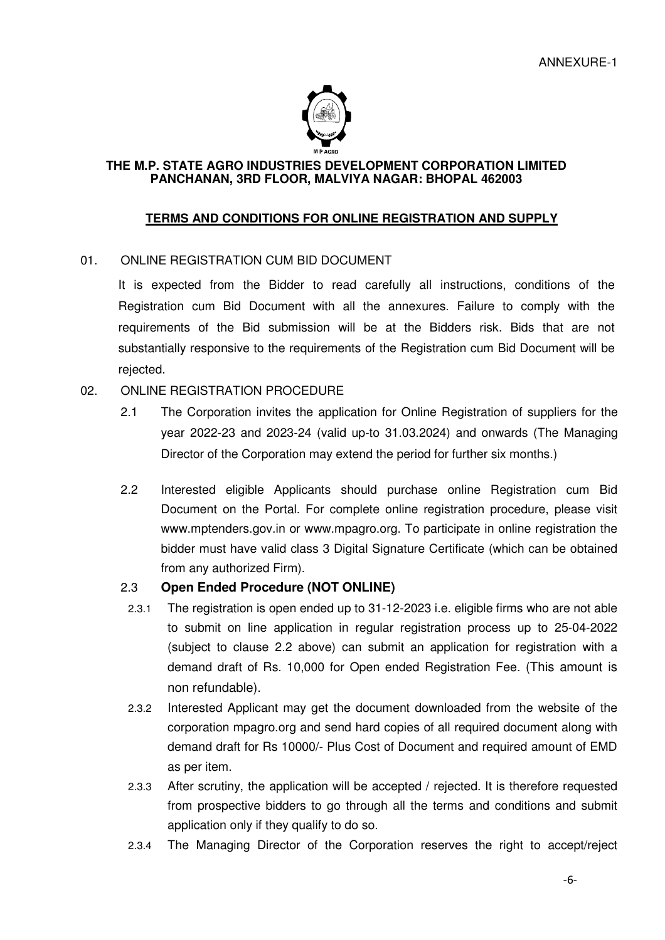

#### **THE M.P. STATE AGRO INDUSTRIES DEVELOPMENT CORPORATION LIMITED PANCHANAN, 3RD FLOOR, MALVIYA NAGAR: BHOPAL 462003**

### **TERMS AND CONDITIONS FOR ONLINE REGISTRATION AND SUPPLY**

# 01. ONLINE REGISTRATION CUM BID DOCUMENT

It is expected from the Bidder to read carefully all instructions, conditions of the Registration cum Bid Document with all the annexures. Failure to comply with the requirements of the Bid submission will be at the Bidders risk. Bids that are not substantially responsive to the requirements of the Registration cum Bid Document will be rejected.

# 02. ONLINE REGISTRATION PROCEDURE

- 2.1 The Corporation invites the application for Online Registration of suppliers for the year 2022-23 and 2023-24 (valid up-to 31.03.2024) and onwards (The Managing Director of the Corporation may extend the period for further six months.)
- 2.2 Interested eligible Applicants should purchase online Registration cum Bid Document on the Portal. For complete online registration procedure, please visit www.mptenders.gov.in or www.mpagro.org. To participate in online registration the bidder must have valid class 3 Digital Signature Certificate (which can be obtained from any authorized Firm).

### 2.3 **Open Ended Procedure (NOT ONLINE)**

- 2.3.1 The registration is open ended up to 31-12-2023 i.e. eligible firms who are not able to submit on line application in regular registration process up to 25-04-2022 (subject to clause 2.2 above) can submit an application for registration with a demand draft of Rs. 10,000 for Open ended Registration Fee. (This amount is non refundable).
- 2.3.2 Interested Applicant may get the document downloaded from the website of the corporation mpagro.org and send hard copies of all required document along with demand draft for Rs 10000/- Plus Cost of Document and required amount of EMD as per item.
- 2.3.3 After scrutiny, the application will be accepted / rejected. It is therefore requested from prospective bidders to go through all the terms and conditions and submit application only if they qualify to do so.
- 2.3.4 The Managing Director of the Corporation reserves the right to accept/reject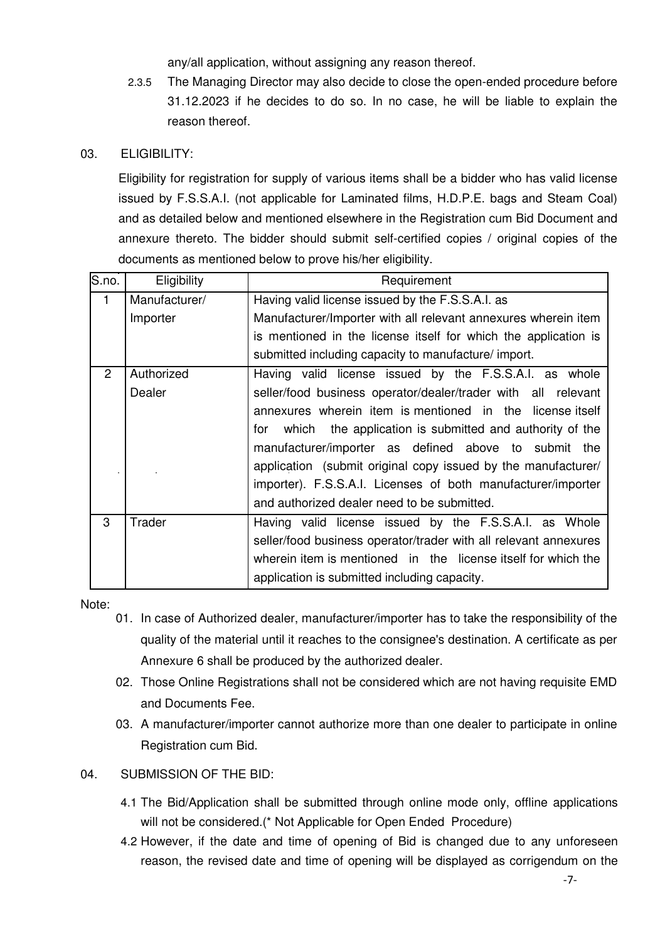any/all application, without assigning any reason thereof.

- 2.3.5 The Managing Director may also decide to close the open-ended procedure before 31.12.2023 if he decides to do so. In no case, he will be liable to explain the reason thereof.
- 03. ELIGIBILITY:

Eligibility for registration for supply of various items shall be a bidder who has valid license issued by F.S.S.A.I. (not applicable for Laminated films, H.D.P.E. bags and Steam Coal) and as detailed below and mentioned elsewhere in the Registration cum Bid Document and annexure thereto. The bidder should submit self-certified copies / original copies of the documents as mentioned below to prove his/her eligibility.

| $\overline{\mathsf{S}}$ . no. | Eligibility   | Requirement                                                      |  |  |
|-------------------------------|---------------|------------------------------------------------------------------|--|--|
| $\mathbf{1}$                  | Manufacturer/ | Having valid license issued by the F.S.S.A.I. as                 |  |  |
|                               | Importer      | Manufacturer/Importer with all relevant annexures wherein item   |  |  |
|                               |               | is mentioned in the license itself for which the application is  |  |  |
|                               |               | submitted including capacity to manufacture/ import.             |  |  |
| $\overline{2}$                | Authorized    | Having valid license issued by the F.S.S.A.I. as whole           |  |  |
|                               | Dealer        | seller/food business operator/dealer/trader with all relevant    |  |  |
|                               |               | annexures wherein item is mentioned in the license itself        |  |  |
|                               |               | for which the application is submitted and authority of the      |  |  |
|                               |               | manufacturer/importer as defined above to submit the             |  |  |
|                               |               | application (submit original copy issued by the manufacturer/    |  |  |
|                               |               | importer). F.S.S.A.I. Licenses of both manufacturer/importer     |  |  |
|                               |               | and authorized dealer need to be submitted.                      |  |  |
| 3                             | Trader        | Having valid license issued by the F.S.S.A.I. as Whole           |  |  |
|                               |               | seller/food business operator/trader with all relevant annexures |  |  |
|                               |               | wherein item is mentioned in the license itself for which the    |  |  |
|                               |               | application is submitted including capacity.                     |  |  |

Note:

- 01. In case of Authorized dealer, manufacturer/importer has to take the responsibility of the quality of the material until it reaches to the consignee's destination. A certificate as per Annexure 6 shall be produced by the authorized dealer.
- 02. Those Online Registrations shall not be considered which are not having requisite EMD and Documents Fee.
- 03. A manufacturer/importer cannot authorize more than one dealer to participate in online Registration cum Bid.
- 04. SUBMISSION OF THE BID:
	- 4.1 The Bid/Application shall be submitted through online mode only, offline applications will not be considered.(\* Not Applicable for Open Ended Procedure)
	- 4.2 However, if the date and time of opening of Bid is changed due to any unforeseen reason, the revised date and time of opening will be displayed as corrigendum on the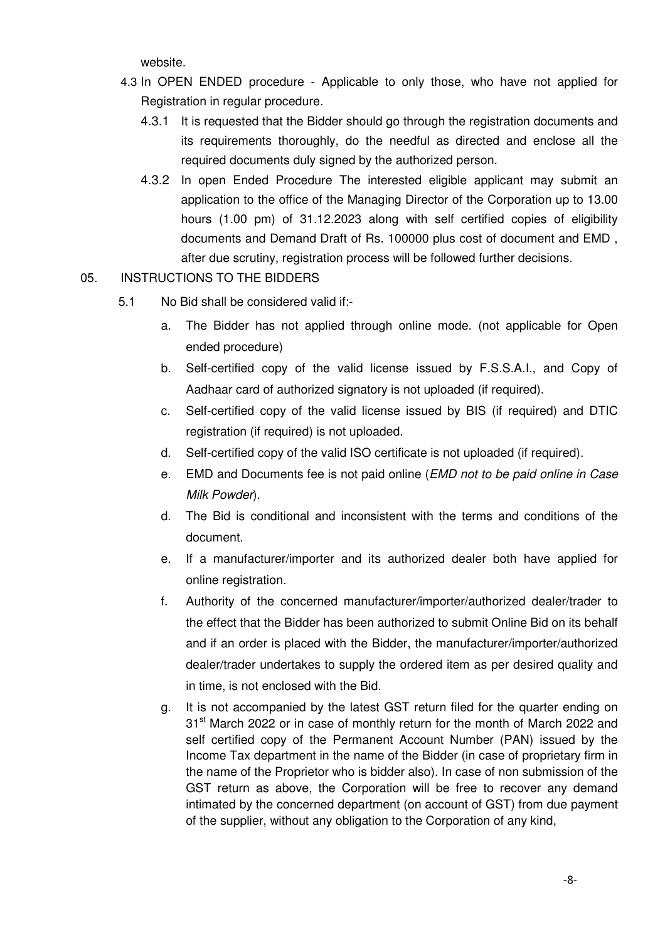website.

- 4.3 In OPEN ENDED procedure Applicable to only those, who have not applied for Registration in regular procedure.
	- 4.3.1 It is requested that the Bidder should go through the registration documents and its requirements thoroughly, do the needful as directed and enclose all the required documents duly signed by the authorized person.
	- 4.3.2 In open Ended Procedure The interested eligible applicant may submit an application to the office of the Managing Director of the Corporation up to 13.00 hours (1.00 pm) of 31.12.2023 along with self certified copies of eligibility documents and Demand Draft of Rs. 100000 plus cost of document and EMD , after due scrutiny, registration process will be followed further decisions.

# 05. INSTRUCTIONS TO THE BIDDERS

- 5.1 No Bid shall be considered valid if:
	- a. The Bidder has not applied through online mode. (not applicable for Open ended procedure)
	- b. Self-certified copy of the valid license issued by F.S.S.A.I., and Copy of Aadhaar card of authorized signatory is not uploaded (if required).
	- c. Self-certified copy of the valid license issued by BIS (if required) and DTIC registration (if required) is not uploaded.
	- d. Self-certified copy of the valid ISO certificate is not uploaded (if required).
	- e. EMD and Documents fee is not paid online (*EMD not to be paid online in Case Milk Powder*).
	- d. The Bid is conditional and inconsistent with the terms and conditions of the document.
	- e. If a manufacturer/importer and its authorized dealer both have applied for online registration.
	- f. Authority of the concerned manufacturer/importer/authorized dealer/trader to the effect that the Bidder has been authorized to submit Online Bid on its behalf and if an order is placed with the Bidder, the manufacturer/importer/authorized dealer/trader undertakes to supply the ordered item as per desired quality and in time, is not enclosed with the Bid.
	- g. It is not accompanied by the latest GST return filed for the quarter ending on 31<sup>st</sup> March 2022 or in case of monthly return for the month of March 2022 and self certified copy of the Permanent Account Number (PAN) issued by the Income Tax department in the name of the Bidder (in case of proprietary firm in the name of the Proprietor who is bidder also). In case of non submission of the GST return as above, the Corporation will be free to recover any demand intimated by the concerned department (on account of GST) from due payment of the supplier, without any obligation to the Corporation of any kind,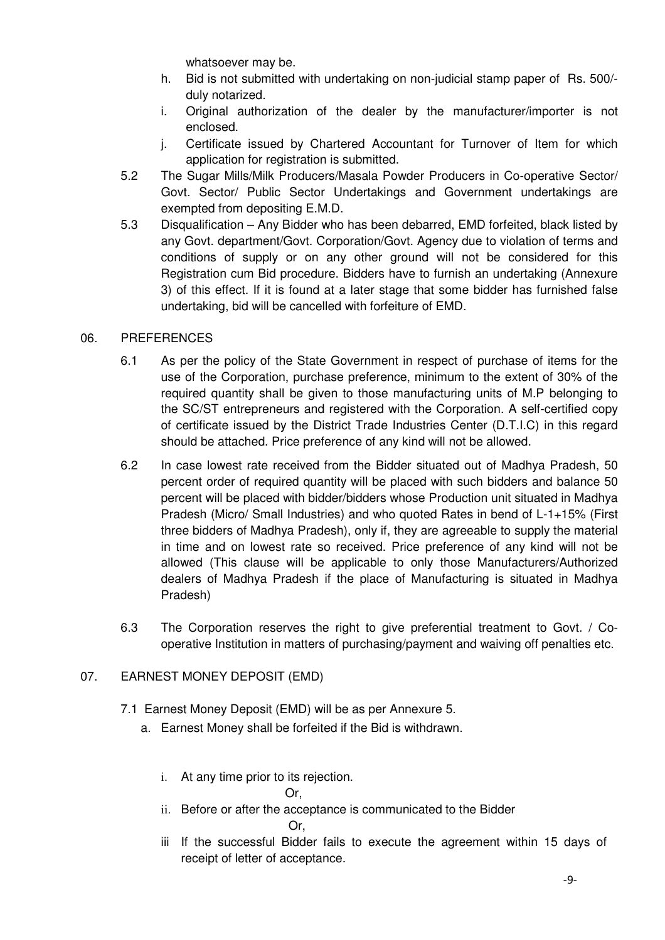whatsoever may be.

- h. Bid is not submitted with undertaking on non-judicial stamp paper of Rs. 500/ duly notarized.
- i. Original authorization of the dealer by the manufacturer/importer is not enclosed.
- j. Certificate issued by Chartered Accountant for Turnover of Item for which application for registration is submitted.
- 5.2 The Sugar Mills/Milk Producers/Masala Powder Producers in Co-operative Sector/ Govt. Sector/ Public Sector Undertakings and Government undertakings are exempted from depositing E.M.D.
- 5.3 Disqualification Any Bidder who has been debarred, EMD forfeited, black listed by any Govt. department/Govt. Corporation/Govt. Agency due to violation of terms and conditions of supply or on any other ground will not be considered for this Registration cum Bid procedure. Bidders have to furnish an undertaking (Annexure 3) of this effect. If it is found at a later stage that some bidder has furnished false undertaking, bid will be cancelled with forfeiture of EMD.

# 06. PREFERENCES

- 6.1 As per the policy of the State Government in respect of purchase of items for the use of the Corporation, purchase preference, minimum to the extent of 30% of the required quantity shall be given to those manufacturing units of M.P belonging to the SC/ST entrepreneurs and registered with the Corporation. A self-certified copy of certificate issued by the District Trade Industries Center (D.T.I.C) in this regard should be attached. Price preference of any kind will not be allowed.
- 6.2 In case lowest rate received from the Bidder situated out of Madhya Pradesh, 50 percent order of required quantity will be placed with such bidders and balance 50 percent will be placed with bidder/bidders whose Production unit situated in Madhya Pradesh (Micro/ Small Industries) and who quoted Rates in bend of L-1+15% (First three bidders of Madhya Pradesh), only if, they are agreeable to supply the material in time and on lowest rate so received. Price preference of any kind will not be allowed (This clause will be applicable to only those Manufacturers/Authorized dealers of Madhya Pradesh if the place of Manufacturing is situated in Madhya Pradesh)
- 6.3 The Corporation reserves the right to give preferential treatment to Govt. / Cooperative Institution in matters of purchasing/payment and waiving off penalties etc.

# 07. EARNEST MONEY DEPOSIT (EMD)

- 7.1 Earnest Money Deposit (EMD) will be as per Annexure 5.
	- a. Earnest Money shall be forfeited if the Bid is withdrawn.
		- i. At any time prior to its rejection.

Or,

- ii. Before or after the acceptance is communicated to the Bidder Or,
- iii If the successful Bidder fails to execute the agreement within 15 days of receipt of letter of acceptance.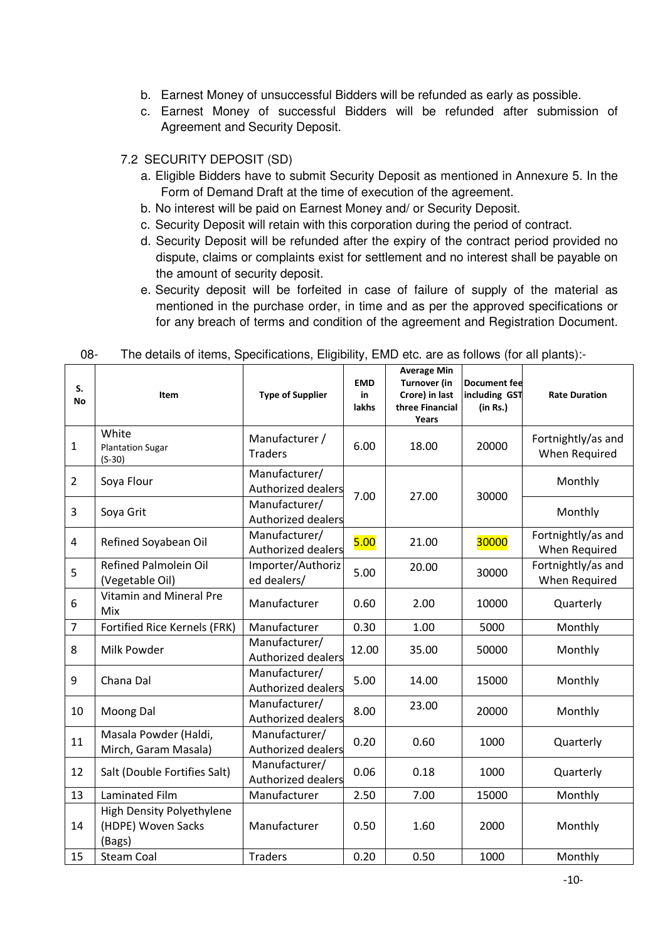- b. Earnest Money of unsuccessful Bidders will be refunded as early as possible.
- c. Earnest Money of successful Bidders will be refunded after submission of Agreement and Security Deposit.

## 7.2 SECURITY DEPOSIT (SD)

- a. Eligible Bidders have to submit Security Deposit as mentioned in Annexure 5. In the Form of Demand Draft at the time of execution of the agreement.
- b. No interest will be paid on Earnest Money and/ or Security Deposit.
- c. Security Deposit will retain with this corporation during the period of contract.
- d. Security Deposit will be refunded after the expiry of the contract period provided no dispute, claims or complaints exist for settlement and no interest shall be payable on the amount of security deposit.
- e. Security deposit will be forfeited in case of failure of supply of the material as mentioned in the purchase order, in time and as per the approved specifications or for any breach of terms and condition of the agreement and Registration Document.

| S.<br>No       | Item                                                      | <b>Type of Supplier</b>                    | <b>EMD</b><br>in<br>lakhs | <b>Average Min</b><br><b>Turnover (in</b><br>Crore) in last<br>three Financial<br>Years | <b>Document fee</b><br>including GST<br>(in Rs.) | <b>Rate Duration</b>                |
|----------------|-----------------------------------------------------------|--------------------------------------------|---------------------------|-----------------------------------------------------------------------------------------|--------------------------------------------------|-------------------------------------|
| $\mathbf{1}$   | White<br><b>Plantation Sugar</b><br>$(S-30)$              | Manufacturer /<br><b>Traders</b>           | 6.00                      | 18.00                                                                                   | 20000                                            | Fortnightly/as and<br>When Required |
| $\overline{2}$ | Soya Flour                                                | Manufacturer/<br>Authorized dealers        | 7.00                      | 27.00                                                                                   | 30000                                            | Monthly                             |
| 3              | Soya Grit                                                 | Manufacturer/<br>Authorized dealers        |                           |                                                                                         |                                                  | Monthly                             |
| 4              | Refined Soyabean Oil                                      | Manufacturer/<br><b>Authorized dealers</b> | 5.00                      | 21.00                                                                                   | 30000                                            | Fortnightly/as and<br>When Required |
| 5              | <b>Refined Palmolein Oil</b><br>(Vegetable Oil)           | Importer/Authoriz<br>ed dealers/           | 5.00                      | 20.00                                                                                   | 30000                                            | Fortnightly/as and<br>When Required |
| 6              | <b>Vitamin and Mineral Pre</b><br>Mix                     | Manufacturer                               | 0.60                      | 2.00                                                                                    | 10000                                            | Quarterly                           |
| $\overline{7}$ | Fortified Rice Kernels (FRK)                              | Manufacturer                               | 0.30                      | 1.00                                                                                    | 5000                                             | Monthly                             |
| 8              | Milk Powder                                               | Manufacturer/<br><b>Authorized dealers</b> | 12.00                     | 35.00                                                                                   | 50000                                            | Monthly                             |
| 9              | Chana Dal                                                 | Manufacturer/<br>Authorized dealers        | 5.00                      | 14.00                                                                                   | 15000                                            | Monthly                             |
| 10             | Moong Dal                                                 | Manufacturer/<br>Authorized dealers        | 8.00                      | 23.00                                                                                   | 20000                                            | Monthly                             |
| 11             | Masala Powder (Haldi,<br>Mirch, Garam Masala)             | Manufacturer/<br><b>Authorized dealers</b> | 0.20                      | 0.60                                                                                    | 1000                                             | Quarterly                           |
| 12             | Salt (Double Fortifies Salt)                              | Manufacturer/<br>Authorized dealers        | 0.06                      | 0.18                                                                                    | 1000                                             | Quarterly                           |
| 13             | Laminated Film                                            | Manufacturer                               | 2.50                      | 7.00                                                                                    | 15000                                            | Monthly                             |
| 14             | High Density Polyethylene<br>(HDPE) Woven Sacks<br>(Bags) | Manufacturer                               | 0.50                      | 1.60                                                                                    | 2000                                             | Monthly                             |
| 15             | <b>Steam Coal</b>                                         | <b>Traders</b>                             | 0.20                      | 0.50                                                                                    | 1000                                             | Monthly                             |

08- The details of items, Specifications, Eligibility, EMD etc. are as follows (for all plants):-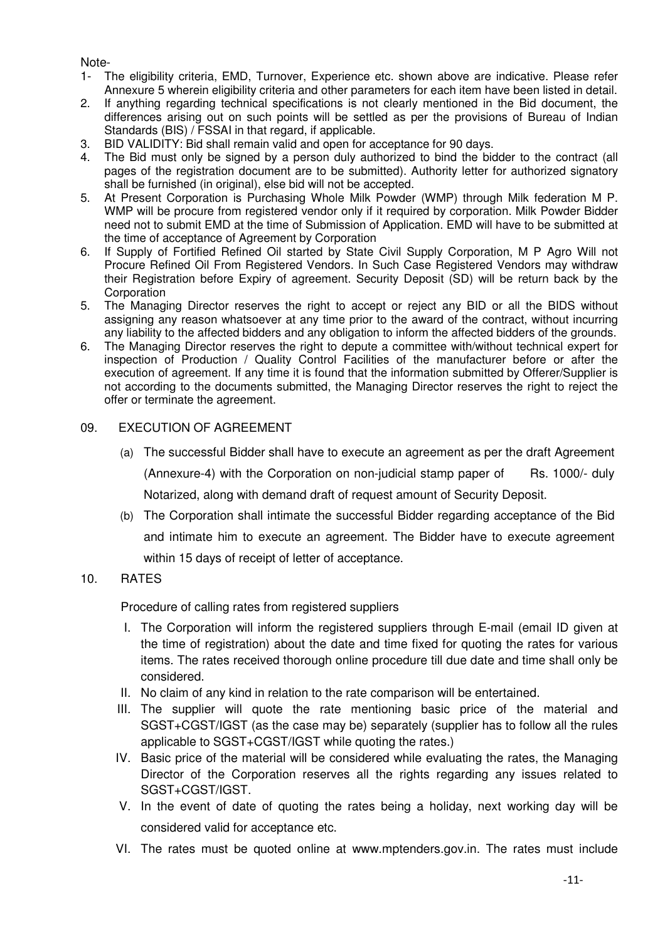#### Note-

- 1- The eligibility criteria, EMD, Turnover, Experience etc. shown above are indicative. Please refer Annexure 5 wherein eligibility criteria and other parameters for each item have been listed in detail.
- 2. If anything regarding technical specifications is not clearly mentioned in the Bid document, the differences arising out on such points will be settled as per the provisions of Bureau of Indian Standards (BIS) / FSSAI in that regard, if applicable.
- 3. BID VALIDITY: Bid shall remain valid and open for acceptance for 90 days.
- 4. The Bid must only be signed by a person duly authorized to bind the bidder to the contract (all pages of the registration document are to be submitted). Authority letter for authorized signatory shall be furnished (in original), else bid will not be accepted.
- 5. At Present Corporation is Purchasing Whole Milk Powder (WMP) through Milk federation M P. WMP will be procure from registered vendor only if it required by corporation. Milk Powder Bidder need not to submit EMD at the time of Submission of Application. EMD will have to be submitted at the time of acceptance of Agreement by Corporation
- 6. If Supply of Fortified Refined Oil started by State Civil Supply Corporation, M P Agro Will not Procure Refined Oil From Registered Vendors. In Such Case Registered Vendors may withdraw their Registration before Expiry of agreement. Security Deposit (SD) will be return back by the **Corporation**
- 5. The Managing Director reserves the right to accept or reject any BID or all the BIDS without assigning any reason whatsoever at any time prior to the award of the contract, without incurring any liability to the affected bidders and any obligation to inform the affected bidders of the grounds.
- 6. The Managing Director reserves the right to depute a committee with/without technical expert for inspection of Production / Quality Control Facilities of the manufacturer before or after the execution of agreement. If any time it is found that the information submitted by Offerer/Supplier is not according to the documents submitted, the Managing Director reserves the right to reject the offer or terminate the agreement.

#### 09. EXECUTION OF AGREEMENT

- (a) The successful Bidder shall have to execute an agreement as per the draft Agreement (Annexure-4) with the Corporation on non-judicial stamp paper of Rs. 1000/- duly Notarized, along with demand draft of request amount of Security Deposit.
- (b) The Corporation shall intimate the successful Bidder regarding acceptance of the Bid and intimate him to execute an agreement. The Bidder have to execute agreement within 15 days of receipt of letter of acceptance.

#### 10. RATES

Procedure of calling rates from registered suppliers

- I. The Corporation will inform the registered suppliers through E-mail (email ID given at the time of registration) about the date and time fixed for quoting the rates for various items. The rates received thorough online procedure till due date and time shall only be considered.
- II. No claim of any kind in relation to the rate comparison will be entertained.
- III. The supplier will quote the rate mentioning basic price of the material and SGST+CGST/IGST (as the case may be) separately (supplier has to follow all the rules applicable to SGST+CGST/IGST while quoting the rates.)
- IV. Basic price of the material will be considered while evaluating the rates, the Managing Director of the Corporation reserves all the rights regarding any issues related to SGST+CGST/IGST.
- V. In the event of date of quoting the rates being a holiday, next working day will be considered valid for acceptance etc.
- VI. The rates must be quoted online at www.mptenders.gov.in. The rates must include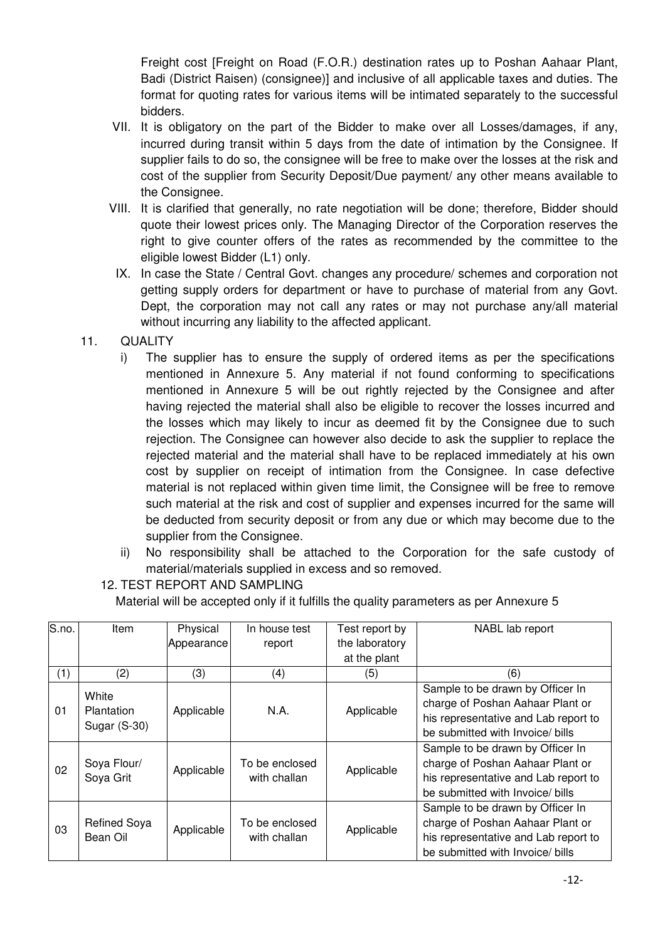Freight cost [Freight on Road (F.O.R.) destination rates up to Poshan Aahaar Plant, Badi (District Raisen) (consignee)] and inclusive of all applicable taxes and duties. The format for quoting rates for various items will be intimated separately to the successful bidders.

- VII. It is obligatory on the part of the Bidder to make over all Losses/damages, if any, incurred during transit within 5 days from the date of intimation by the Consignee. If supplier fails to do so, the consignee will be free to make over the losses at the risk and cost of the supplier from Security Deposit/Due payment/ any other means available to the Consignee.
- VIII. It is clarified that generally, no rate negotiation will be done; therefore, Bidder should quote their lowest prices only. The Managing Director of the Corporation reserves the right to give counter offers of the rates as recommended by the committee to the eligible lowest Bidder (L1) only.
- IX. In case the State / Central Govt. changes any procedure/ schemes and corporation not getting supply orders for department or have to purchase of material from any Govt. Dept, the corporation may not call any rates or may not purchase any/all material without incurring any liability to the affected applicant.
- 11. QUALITY
	- i) The supplier has to ensure the supply of ordered items as per the specifications mentioned in Annexure 5. Any material if not found conforming to specifications mentioned in Annexure 5 will be out rightly rejected by the Consignee and after having rejected the material shall also be eligible to recover the losses incurred and the losses which may likely to incur as deemed fit by the Consignee due to such rejection. The Consignee can however also decide to ask the supplier to replace the rejected material and the material shall have to be replaced immediately at his own cost by supplier on receipt of intimation from the Consignee. In case defective material is not replaced within given time limit, the Consignee will be free to remove such material at the risk and cost of supplier and expenses incurred for the same will be deducted from security deposit or from any due or which may become due to the supplier from the Consignee.
	- ii) No responsibility shall be attached to the Corporation for the safe custody of material/materials supplied in excess and so removed.
	- 12. TEST REPORT AND SAMPLING

Material will be accepted only if it fulfills the quality parameters as per Annexure 5

| S.no. | ltem                       | Physical   | In house test                  | Test report by | NABL lab report                      |
|-------|----------------------------|------------|--------------------------------|----------------|--------------------------------------|
|       |                            | Appearance | report                         | the laboratory |                                      |
|       |                            |            |                                | at the plant   |                                      |
| (1)   | (2)                        | (3)        | (4)                            | (5)            | (6)                                  |
|       | White                      |            |                                |                | Sample to be drawn by Officer In     |
| 01    |                            |            | N.A.                           | Applicable     | charge of Poshan Aahaar Plant or     |
|       | Plantation<br>Sugar (S-30) | Applicable |                                |                | his representative and Lab report to |
|       |                            |            |                                |                | be submitted with Invoice/ bills     |
|       | Soya Flour/<br>Soya Grit   | Applicable | To be enclosed<br>with challan | Applicable     | Sample to be drawn by Officer In     |
| 02    |                            |            |                                |                | charge of Poshan Aahaar Plant or     |
|       |                            |            |                                |                | his representative and Lab report to |
|       |                            |            |                                |                | be submitted with Invoice/ bills     |
|       |                            |            |                                |                | Sample to be drawn by Officer In     |
| 03    | <b>Refined Soya</b>        | Applicable | To be enclosed<br>with challan | Applicable     | charge of Poshan Aahaar Plant or     |
|       | Bean Oil                   |            |                                |                | his representative and Lab report to |
|       |                            |            |                                |                | be submitted with Invoice/ bills     |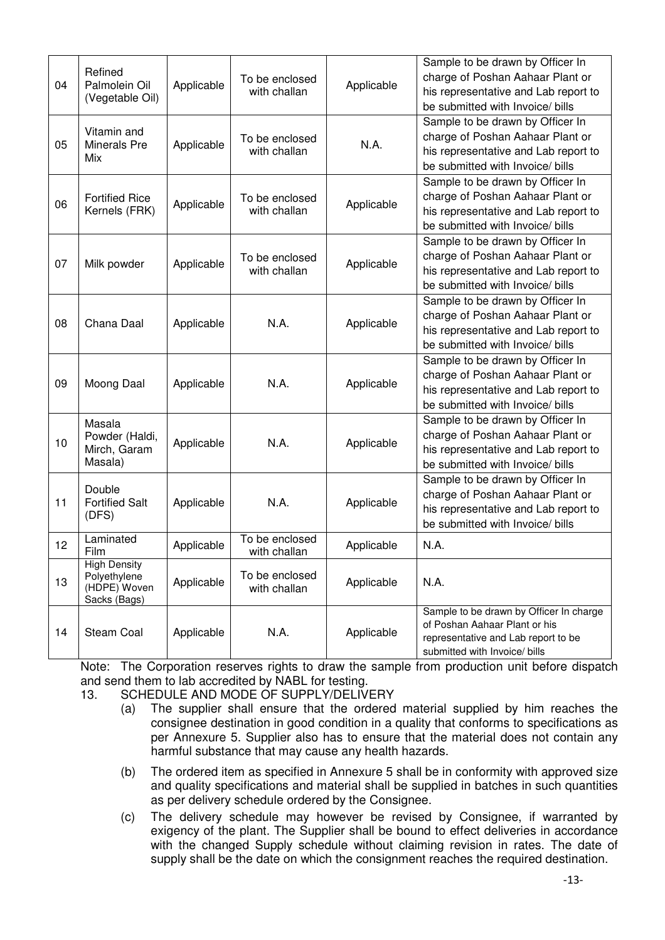|    |                                     |            |                                |            | Sample to be drawn by Officer In                                         |
|----|-------------------------------------|------------|--------------------------------|------------|--------------------------------------------------------------------------|
|    | Refined                             | Applicable | To be enclosed<br>with challan | Applicable | charge of Poshan Aahaar Plant or                                         |
| 04 | Palmolein Oil                       |            |                                |            | his representative and Lab report to                                     |
|    | (Vegetable Oil)                     |            |                                |            | be submitted with Invoice/ bills                                         |
|    |                                     |            |                                |            | Sample to be drawn by Officer In                                         |
|    | Vitamin and                         |            | To be enclosed                 |            | charge of Poshan Aahaar Plant or                                         |
| 05 | Minerals Pre                        | Applicable | with challan                   | N.A.       | his representative and Lab report to                                     |
|    | Mix                                 |            |                                |            | be submitted with Invoice/ bills                                         |
|    |                                     |            |                                |            | Sample to be drawn by Officer In                                         |
|    | <b>Fortified Rice</b>               |            | To be enclosed                 |            | charge of Poshan Aahaar Plant or                                         |
| 06 | Kernels (FRK)                       | Applicable | with challan                   | Applicable | his representative and Lab report to                                     |
|    |                                     |            |                                |            | be submitted with Invoice/ bills                                         |
|    |                                     |            |                                |            | Sample to be drawn by Officer In                                         |
|    |                                     |            | To be enclosed                 |            | charge of Poshan Aahaar Plant or                                         |
| 07 | Milk powder                         | Applicable | with challan                   | Applicable | his representative and Lab report to                                     |
|    |                                     |            |                                |            | be submitted with Invoice/ bills                                         |
|    |                                     |            |                                |            | Sample to be drawn by Officer In                                         |
|    | Chana Daal                          | Applicable | N.A.                           | Applicable | charge of Poshan Aahaar Plant or                                         |
| 08 |                                     |            |                                |            | his representative and Lab report to                                     |
|    |                                     |            |                                |            | be submitted with Invoice/ bills                                         |
|    |                                     |            |                                |            | Sample to be drawn by Officer In                                         |
|    | Moong Daal                          | Applicable | N.A.                           | Applicable | charge of Poshan Aahaar Plant or                                         |
| 09 |                                     |            |                                |            | his representative and Lab report to                                     |
|    |                                     |            |                                |            | be submitted with Invoice/ bills                                         |
|    | Masala                              |            |                                |            | Sample to be drawn by Officer In                                         |
|    | Powder (Haldi,                      |            |                                |            | charge of Poshan Aahaar Plant or                                         |
| 10 | Mirch, Garam<br>Masala)             | Applicable | N.A.                           | Applicable | his representative and Lab report to                                     |
|    |                                     |            |                                |            | be submitted with Invoice/ bills                                         |
|    |                                     |            |                                |            | Sample to be drawn by Officer In                                         |
|    | Double                              |            |                                |            | charge of Poshan Aahaar Plant or                                         |
| 11 | <b>Fortified Salt</b>               | Applicable | N.A.                           | Applicable | his representative and Lab report to                                     |
|    | (DFS)                               |            |                                |            | be submitted with Invoice/ bills                                         |
| 12 | Laminated                           | Applicable | To be enclosed                 | Applicable | N.A.                                                                     |
|    | Film                                |            | with challan                   |            |                                                                          |
|    | <b>High Density</b><br>Polyethylene |            | To be enclosed                 |            |                                                                          |
| 13 | (HDPE) Woven                        | Applicable | with challan                   | Applicable | N.A.                                                                     |
|    | Sacks (Bags)                        |            |                                |            |                                                                          |
|    |                                     |            | N.A.                           | Applicable | Sample to be drawn by Officer In charge<br>of Poshan Aahaar Plant or his |
| 14 | <b>Steam Coal</b>                   | Applicable |                                |            | representative and Lab report to be                                      |
|    |                                     |            |                                |            | submitted with Invoice/ bills                                            |
|    |                                     |            |                                |            |                                                                          |

Note: The Corporation reserves rights to draw the sample from production unit before dispatch and send them to lab accredited by NABL for testing.

- 13. SCHEDULE AND MODE OF SUPPLY/DELIVERY
	- (a) The supplier shall ensure that the ordered material supplied by him reaches the consignee destination in good condition in a quality that conforms to specifications as per Annexure 5. Supplier also has to ensure that the material does not contain any harmful substance that may cause any health hazards.
	- (b) The ordered item as specified in Annexure 5 shall be in conformity with approved size and quality specifications and material shall be supplied in batches in such quantities as per delivery schedule ordered by the Consignee.
	- (c) The delivery schedule may however be revised by Consignee, if warranted by exigency of the plant. The Supplier shall be bound to effect deliveries in accordance with the changed Supply schedule without claiming revision in rates. The date of supply shall be the date on which the consignment reaches the required destination.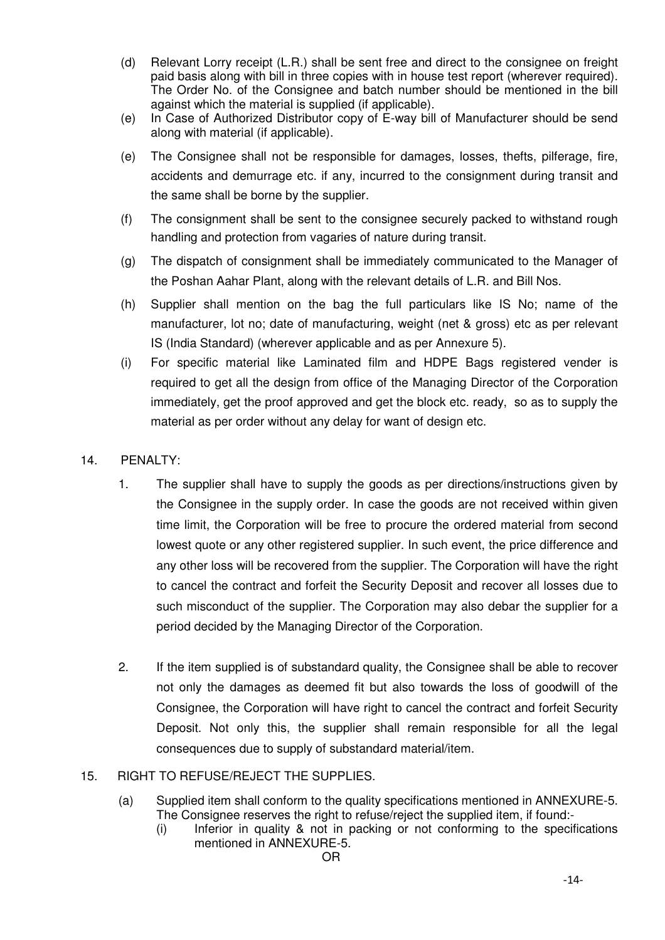- (d) Relevant Lorry receipt (L.R.) shall be sent free and direct to the consignee on freight paid basis along with bill in three copies with in house test report (wherever required). The Order No. of the Consignee and batch number should be mentioned in the bill against which the material is supplied (if applicable).
- (e) In Case of Authorized Distributor copy of E-way bill of Manufacturer should be send along with material (if applicable).
- (e) The Consignee shall not be responsible for damages, losses, thefts, pilferage, fire, accidents and demurrage etc. if any, incurred to the consignment during transit and the same shall be borne by the supplier.
- (f) The consignment shall be sent to the consignee securely packed to withstand rough handling and protection from vagaries of nature during transit.
- (g) The dispatch of consignment shall be immediately communicated to the Manager of the Poshan Aahar Plant, along with the relevant details of L.R. and Bill Nos.
- (h) Supplier shall mention on the bag the full particulars like IS No; name of the manufacturer, lot no; date of manufacturing, weight (net & gross) etc as per relevant IS (India Standard) (wherever applicable and as per Annexure 5).
- (i) For specific material like Laminated film and HDPE Bags registered vender is required to get all the design from office of the Managing Director of the Corporation immediately, get the proof approved and get the block etc. ready, so as to supply the material as per order without any delay for want of design etc.

### 14. PENALTY:

- 1. The supplier shall have to supply the goods as per directions/instructions given by the Consignee in the supply order. In case the goods are not received within given time limit, the Corporation will be free to procure the ordered material from second lowest quote or any other registered supplier. In such event, the price difference and any other loss will be recovered from the supplier. The Corporation will have the right to cancel the contract and forfeit the Security Deposit and recover all losses due to such misconduct of the supplier. The Corporation may also debar the supplier for a period decided by the Managing Director of the Corporation.
- 2. If the item supplied is of substandard quality, the Consignee shall be able to recover not only the damages as deemed fit but also towards the loss of goodwill of the Consignee, the Corporation will have right to cancel the contract and forfeit Security Deposit. Not only this, the supplier shall remain responsible for all the legal consequences due to supply of substandard material/item.
- 15. RIGHT TO REFUSE/REJECT THE SUPPLIES.
	- (a) Supplied item shall conform to the quality specifications mentioned in ANNEXURE-5. The Consignee reserves the right to refuse/reject the supplied item, if found:-
		- (i) Inferior in quality & not in packing or not conforming to the specifications mentioned in ANNEXURE-5.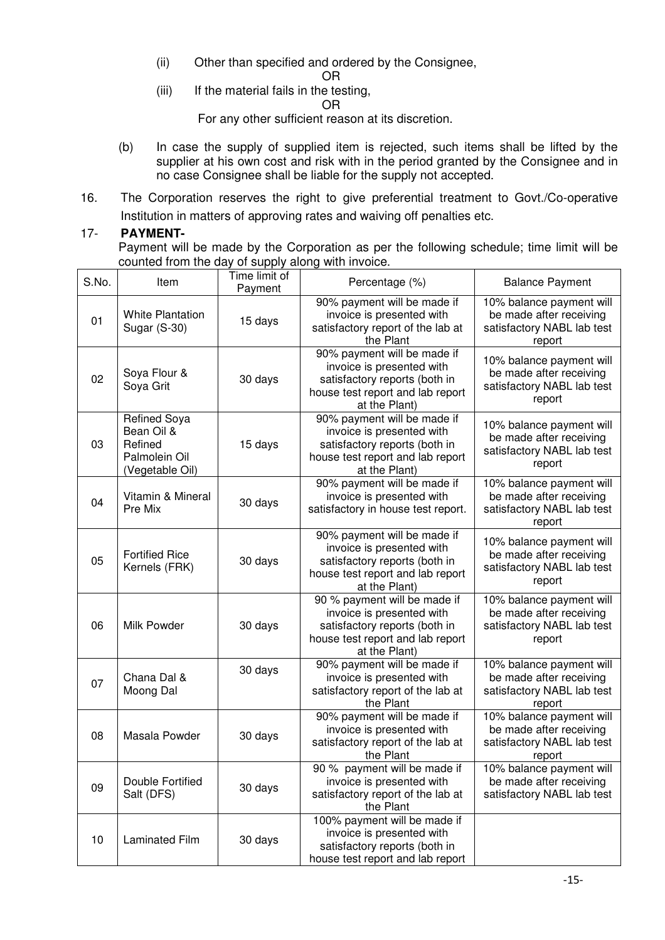- (ii) Other than specified and ordered by the Consignee,
- OR (iii) If the material fails in the testing,

OR

For any other sufficient reason at its discretion.

- (b) In case the supply of supplied item is rejected, such items shall be lifted by the supplier at his own cost and risk with in the period granted by the Consignee and in no case Consignee shall be liable for the supply not accepted.
- 16. The Corporation reserves the right to give preferential treatment to Govt./Co-operative Institution in matters of approving rates and waiving off penalties etc.

#### 17- **PAYMENT-**

Payment will be made by the Corporation as per the following schedule; time limit will be counted from the day of supply along with invoice.

| S.No. | Item                                                                             | Time limit of<br>Payment | Percentage (%)                                                                                                                                  | <b>Balance Payment</b>                                                                      |
|-------|----------------------------------------------------------------------------------|--------------------------|-------------------------------------------------------------------------------------------------------------------------------------------------|---------------------------------------------------------------------------------------------|
| 01    | <b>White Plantation</b><br>Sugar (S-30)                                          | 15 days                  | 90% payment will be made if<br>invoice is presented with<br>satisfactory report of the lab at<br>the Plant                                      | 10% balance payment will<br>be made after receiving<br>satisfactory NABL lab test<br>report |
| 02    | Soya Flour &<br>Soya Grit                                                        | 30 days                  | 90% payment will be made if<br>invoice is presented with<br>satisfactory reports (both in<br>house test report and lab report<br>at the Plant)  | 10% balance payment will<br>be made after receiving<br>satisfactory NABL lab test<br>report |
| 03    | <b>Refined Soya</b><br>Bean Oil &<br>Refined<br>Palmolein Oil<br>(Vegetable Oil) | 15 days                  | 90% payment will be made if<br>invoice is presented with<br>satisfactory reports (both in<br>house test report and lab report<br>at the Plant)  | 10% balance payment will<br>be made after receiving<br>satisfactory NABL lab test<br>report |
| 04    | Vitamin & Mineral<br>Pre Mix                                                     | 30 days                  | 90% payment will be made if<br>invoice is presented with<br>satisfactory in house test report.                                                  | 10% balance payment will<br>be made after receiving<br>satisfactory NABL lab test<br>report |
| 05    | <b>Fortified Rice</b><br>Kernels (FRK)                                           | 30 days                  | 90% payment will be made if<br>invoice is presented with<br>satisfactory reports (both in<br>house test report and lab report<br>at the Plant)  | 10% balance payment will<br>be made after receiving<br>satisfactory NABL lab test<br>report |
| 06    | Milk Powder                                                                      | 30 days                  | 90 % payment will be made if<br>invoice is presented with<br>satisfactory reports (both in<br>house test report and lab report<br>at the Plant) | 10% balance payment will<br>be made after receiving<br>satisfactory NABL lab test<br>report |
| 07    | Chana Dal &<br>Moong Dal                                                         | 30 days                  | 90% payment will be made if<br>invoice is presented with<br>satisfactory report of the lab at<br>the Plant                                      | 10% balance payment will<br>be made after receiving<br>satisfactory NABL lab test<br>report |
| 08    | Masala Powder                                                                    | 30 days                  | 90% payment will be made if<br>invoice is presented with<br>satisfactory report of the lab at<br>the Plant                                      | 10% balance payment will<br>be made after receiving<br>satisfactory NABL lab test<br>report |
| 09    | Double Fortified<br>Salt (DFS)                                                   | 30 days                  | 90 % payment will be made if<br>invoice is presented with<br>satisfactory report of the lab at<br>the Plant                                     | 10% balance payment will<br>be made after receiving<br>satisfactory NABL lab test           |
| 10    | <b>Laminated Film</b>                                                            | 30 days                  | 100% payment will be made if<br>invoice is presented with<br>satisfactory reports (both in<br>house test report and lab report                  |                                                                                             |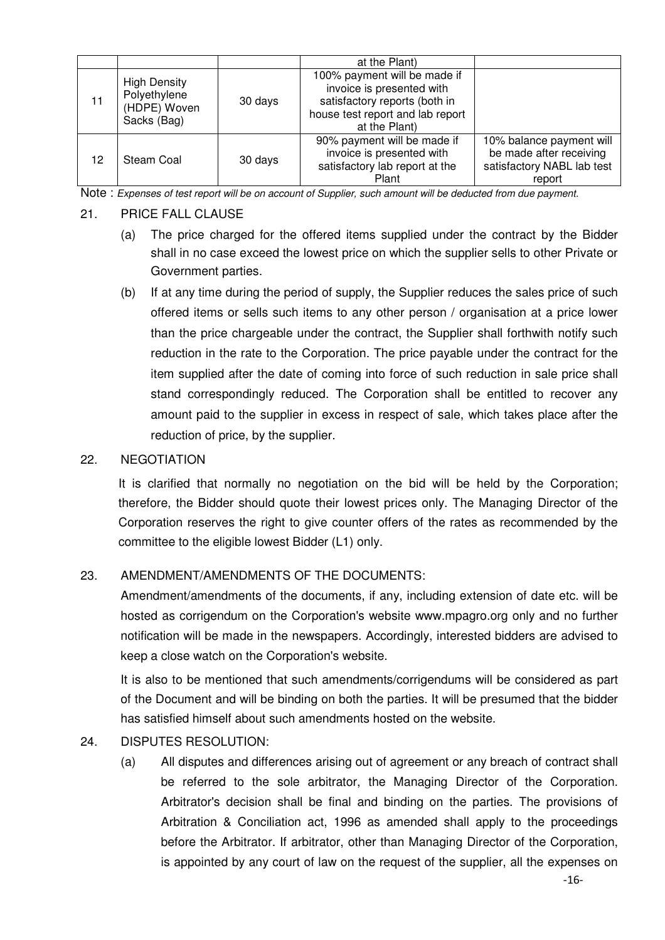|    |                                                                    |         | at the Plant)                                                                                                                                   |                                                                                             |
|----|--------------------------------------------------------------------|---------|-------------------------------------------------------------------------------------------------------------------------------------------------|---------------------------------------------------------------------------------------------|
| 11 | <b>High Density</b><br>Polyethylene<br>(HDPE) Woven<br>Sacks (Bag) | 30 days | 100% payment will be made if<br>invoice is presented with<br>satisfactory reports (both in<br>house test report and lab report<br>at the Plant) |                                                                                             |
| 12 | Steam Coal                                                         | 30 days | 90% payment will be made if<br>invoice is presented with<br>satisfactory lab report at the<br>Plant                                             | 10% balance payment will<br>be made after receiving<br>satisfactory NABL lab test<br>report |

Note : *Expenses of test report will be on account of Supplier, such amount will be deducted from due payment.* 

#### 21. PRICE FALL CLAUSE

- (a) The price charged for the offered items supplied under the contract by the Bidder shall in no case exceed the lowest price on which the supplier sells to other Private or Government parties.
- (b) If at any time during the period of supply, the Supplier reduces the sales price of such offered items or sells such items to any other person / organisation at a price lower than the price chargeable under the contract, the Supplier shall forthwith notify such reduction in the rate to the Corporation. The price payable under the contract for the item supplied after the date of coming into force of such reduction in sale price shall stand correspondingly reduced. The Corporation shall be entitled to recover any amount paid to the supplier in excess in respect of sale, which takes place after the reduction of price, by the supplier.

#### 22. NEGOTIATION

It is clarified that normally no negotiation on the bid will be held by the Corporation; therefore, the Bidder should quote their lowest prices only. The Managing Director of the Corporation reserves the right to give counter offers of the rates as recommended by the committee to the eligible lowest Bidder (L1) only.

### 23. AMENDMENT/AMENDMENTS OF THE DOCUMENTS:

Amendment/amendments of the documents, if any, including extension of date etc. will be hosted as corrigendum on the Corporation's website www.mpagro.org only and no further notification will be made in the newspapers. Accordingly, interested bidders are advised to keep a close watch on the Corporation's website.

It is also to be mentioned that such amendments/corrigendums will be considered as part of the Document and will be binding on both the parties. It will be presumed that the bidder has satisfied himself about such amendments hosted on the website.

#### 24. DISPUTES RESOLUTION:

(a) All disputes and differences arising out of agreement or any breach of contract shall be referred to the sole arbitrator, the Managing Director of the Corporation. Arbitrator's decision shall be final and binding on the parties. The provisions of Arbitration & Conciliation act, 1996 as amended shall apply to the proceedings before the Arbitrator. If arbitrator, other than Managing Director of the Corporation, is appointed by any court of law on the request of the supplier, all the expenses on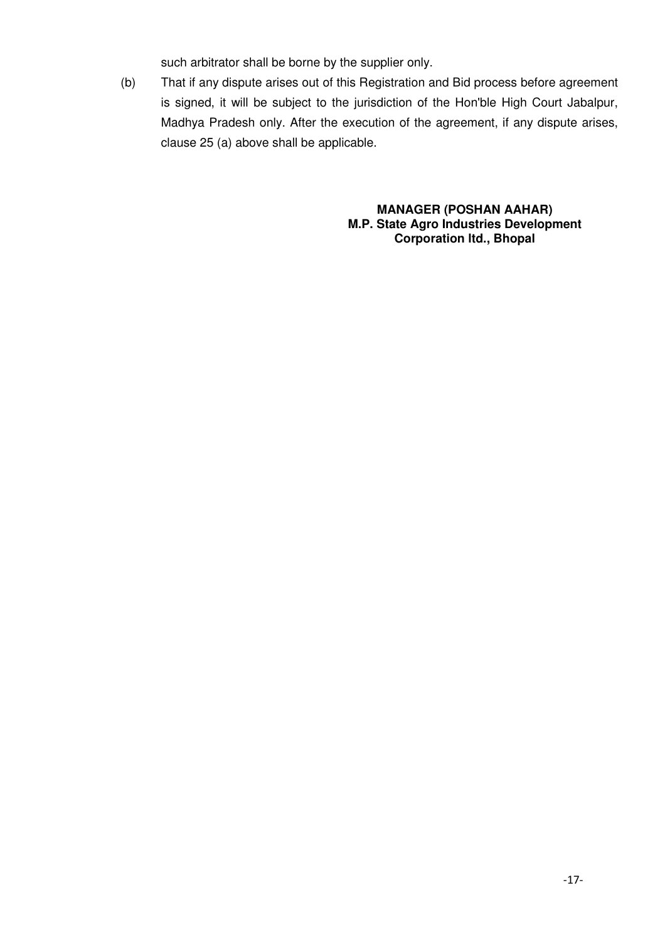such arbitrator shall be borne by the supplier only.

(b) That if any dispute arises out of this Registration and Bid process before agreement is signed, it will be subject to the jurisdiction of the Hon'ble High Court Jabalpur, Madhya Pradesh only. After the execution of the agreement, if any dispute arises, clause 25 (a) above shall be applicable.

> **MANAGER (POSHAN AAHAR) M.P. State Agro Industries Development Corporation ltd., Bhopal**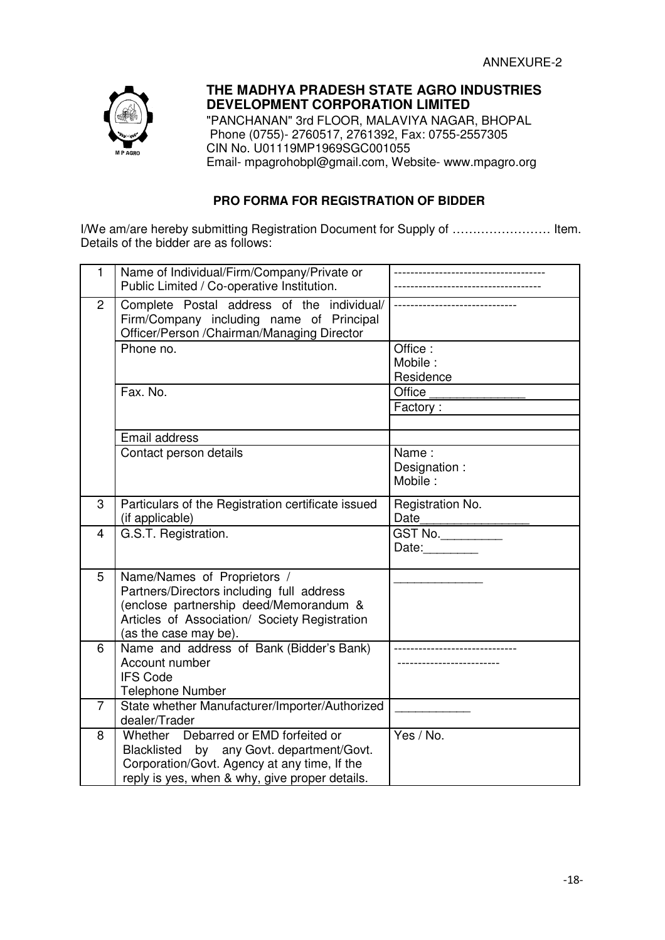

# **THE MADHYA PRADESH STATE AGRO INDUSTRIES DEVELOPMENT CORPORATION LIMITED**

"PANCHANAN" 3rd FLOOR, MALAVIYA NAGAR, BHOPAL Phone (0755)- 2760517, 2761392, Fax: 0755-2557305 CIN No. U01119MP1969SGC001055 Email- mpagrohobpl@gmail.com, Website- www.mpagro.org

# **PRO FORMA FOR REGISTRATION OF BIDDER**

I/We am/are hereby submitting Registration Document for Supply of …………………… Item. Details of the bidder are as follows:

| $\mathbf{1}$   | Name of Individual/Firm/Company/Private or<br>Public Limited / Co-operative Institution.                                                                                                     |                                  |
|----------------|----------------------------------------------------------------------------------------------------------------------------------------------------------------------------------------------|----------------------------------|
| $\overline{2}$ | Complete Postal address of the individual/<br>Firm/Company including name of Principal<br>Officer/Person /Chairman/Managing Director                                                         |                                  |
|                | Phone no.                                                                                                                                                                                    | Office:<br>Mobile:<br>Residence  |
|                | Fax. No.                                                                                                                                                                                     | Office<br>Factory:               |
|                | Email address                                                                                                                                                                                |                                  |
|                | Contact person details                                                                                                                                                                       | Name:<br>Designation:<br>Mobile: |
| 3              | Particulars of the Registration certificate issued<br>(if applicable)                                                                                                                        | Registration No.<br>Date         |
| 4              | G.S.T. Registration.                                                                                                                                                                         | <b>GST No.</b><br>Date:          |
| 5              | Name/Names of Proprietors /<br>Partners/Directors including full address<br>(enclose partnership deed/Memorandum &<br>Articles of Association/ Society Registration<br>(as the case may be). |                                  |
| 6              | Name and address of Bank (Bidder's Bank)<br>Account number<br><b>IFS Code</b><br><b>Telephone Number</b>                                                                                     |                                  |
| $\overline{7}$ | State whether Manufacturer/Importer/Authorized<br>dealer/Trader                                                                                                                              |                                  |
| 8              | Whether Debarred or EMD forfeited or<br>Blacklisted<br>by any Govt. department/Govt.<br>Corporation/Govt. Agency at any time, If the<br>reply is yes, when & why, give proper details.       | Yes / No.                        |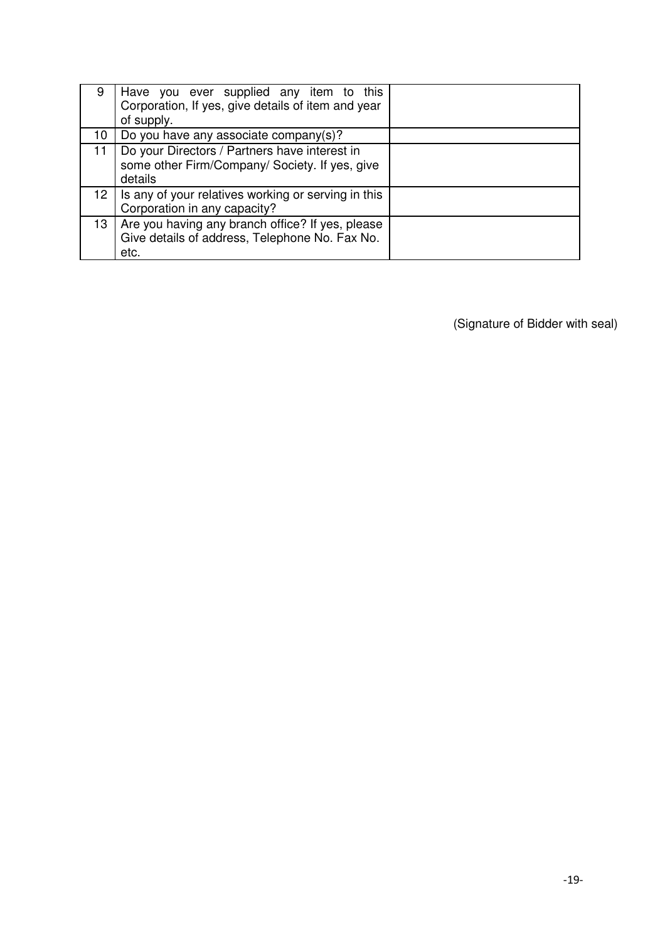| 9                | Have you ever supplied any item to this<br>Corporation, If yes, give details of item and year<br>of supply. |  |
|------------------|-------------------------------------------------------------------------------------------------------------|--|
| 10               | Do you have any associate company(s)?                                                                       |  |
| 11               | Do your Directors / Partners have interest in<br>some other Firm/Company/ Society. If yes, give<br>details  |  |
| 12 <sub>1</sub>  | Is any of your relatives working or serving in this<br>Corporation in any capacity?                         |  |
| 13 <sup>13</sup> | Are you having any branch office? If yes, please<br>Give details of address, Telephone No. Fax No.<br>etc.  |  |

(Signature of Bidder with seal)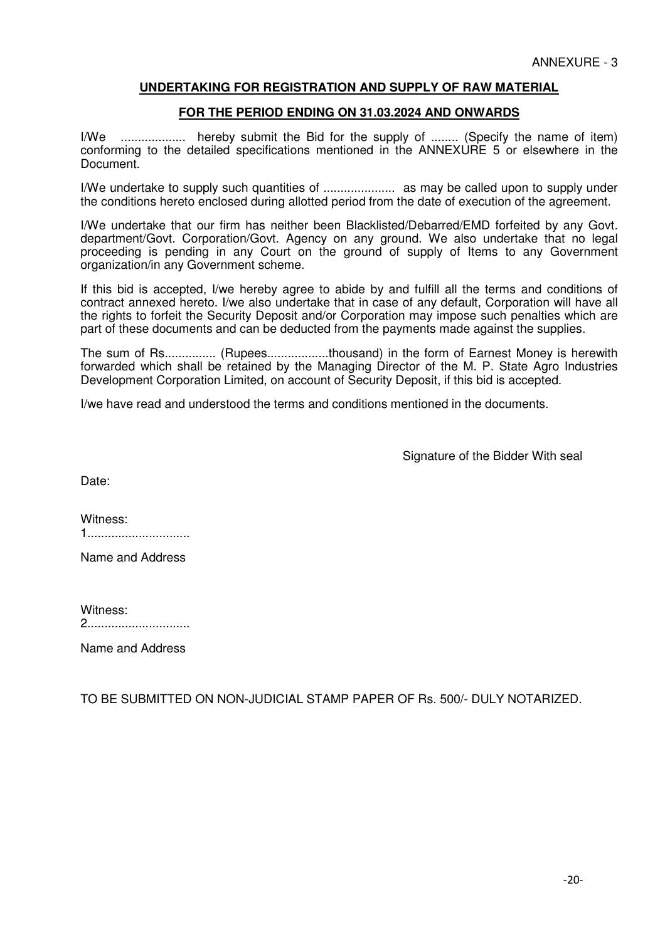#### **UNDERTAKING FOR REGISTRATION AND SUPPLY OF RAW MATERIAL**

#### **FOR THE PERIOD ENDING ON 31.03.2024 AND ONWARDS**

I/We ................... hereby submit the Bid for the supply of ........ (Specify the name of item) conforming to the detailed specifications mentioned in the ANNEXURE 5 or elsewhere in the Document.

I/We undertake to supply such quantities of ..................... as may be called upon to supply under the conditions hereto enclosed during allotted period from the date of execution of the agreement.

I/We undertake that our firm has neither been Blacklisted/Debarred/EMD forfeited by any Govt. department/Govt. Corporation/Govt. Agency on any ground. We also undertake that no legal proceeding is pending in any Court on the ground of supply of Items to any Government organization/in any Government scheme.

If this bid is accepted, I/we hereby agree to abide by and fulfill all the terms and conditions of contract annexed hereto. I/we also undertake that in case of any default, Corporation will have all the rights to forfeit the Security Deposit and/or Corporation may impose such penalties which are part of these documents and can be deducted from the payments made against the supplies.

The sum of Rs............... (Rupees..................thousand) in the form of Earnest Money is herewith forwarded which shall be retained by the Managing Director of the M. P. State Agro Industries Development Corporation Limited, on account of Security Deposit, if this bid is accepted.

I/we have read and understood the terms and conditions mentioned in the documents.

Signature of the Bidder With seal

Date:

| Witness: |  |
|----------|--|
|          |  |

Name and Address

| Witness: |  |
|----------|--|
|          |  |

Name and Address

TO BE SUBMITTED ON NON-JUDICIAL STAMP PAPER OF Rs. 500/- DULY NOTARIZED.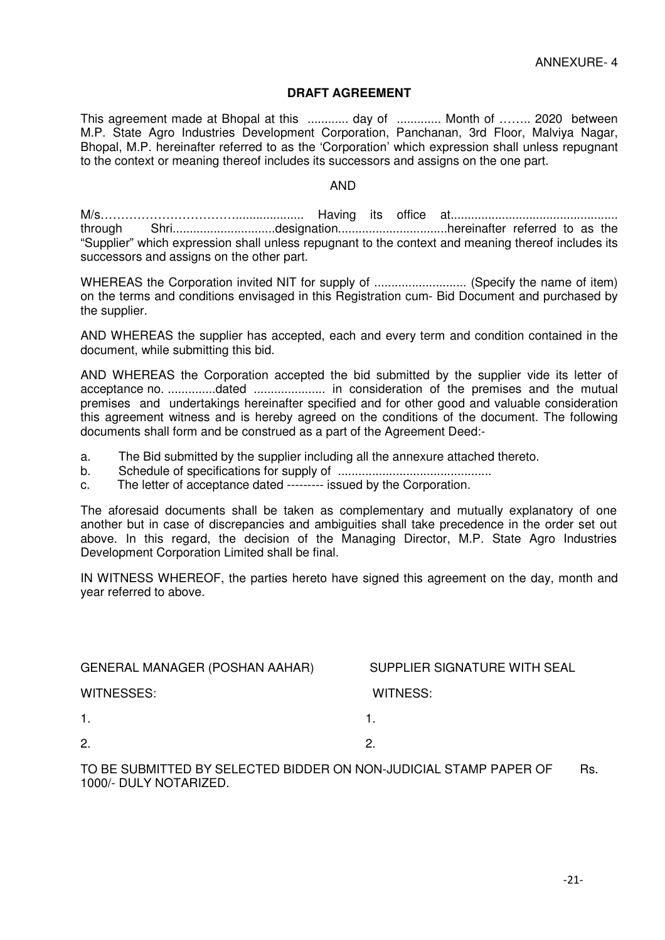#### **DRAFT AGREEMENT**

This agreement made at Bhopal at this ............. day of ............ Month of ........ 2020 between M.P. State Agro Industries Development Corporation, Panchanan, 3rd Floor, Malviya Nagar, Bhopal, M.P. hereinafter referred to as the 'Corporation' which expression shall unless repugnant to the context or meaning thereof includes its successors and assigns on the one part.

#### AND

M/s…………………………….................... Having its office at................................................. through Shri..............................designation................................hereinafter referred to as the "Supplier" which expression shall unless repugnant to the context and meaning thereof includes its successors and assigns on the other part.

WHEREAS the Corporation invited NIT for supply of ............................... (Specify the name of item) on the terms and conditions envisaged in this Registration cum- Bid Document and purchased by the supplier.

AND WHEREAS the supplier has accepted, each and every term and condition contained in the document, while submitting this bid.

AND WHEREAS the Corporation accepted the bid submitted by the supplier vide its letter of acceptance no. ..............dated ..................... in consideration of the premises and the mutual premises and undertakings hereinafter specified and for other good and valuable consideration this agreement witness and is hereby agreed on the conditions of the document. The following documents shall form and be construed as a part of the Agreement Deed:-

- a. The Bid submitted by the supplier including all the annexure attached thereto.
- b. Schedule of specifications for supply of .............................................
- c. The letter of acceptance dated --------- issued by the Corporation.

The aforesaid documents shall be taken as complementary and mutually explanatory of one another but in case of discrepancies and ambiguities shall take precedence in the order set out above. In this regard, the decision of the Managing Director, M.P. State Agro Industries Development Corporation Limited shall be final.

IN WITNESS WHEREOF, the parties hereto have signed this agreement on the day, month and year referred to above.

| <b>GENERAL MANAGER (POSHAN AAHAR)</b>                              | SUPPLIER SIGNATURE WITH SEAL |
|--------------------------------------------------------------------|------------------------------|
| WITNESSES:                                                         | WITNESS:                     |
| $\mathbf{1}$ .                                                     |                              |
| 2.                                                                 | 2.                           |
| TO BE QUBUJITTER BY OFLEGTER BIRRER ON NON-HIRIAUL OT ULD BURER OF | n.,                          |

TO BE SUBMITTED BY SELECTED BIDDER ON NON-JUDICIAL STAMP PAPER OF Rs. 1000/- DULY NOTARIZED.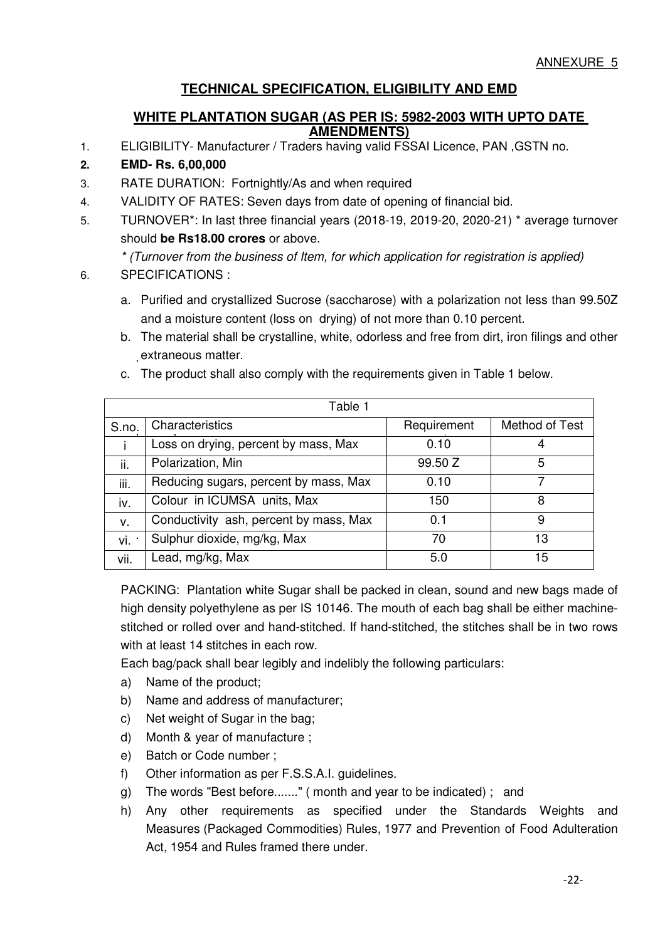# **TECHNICAL SPECIFICATION, ELIGIBILITY AND EMD**

# **WHITE PLANTATION SUGAR (AS PER IS: 5982-2003 WITH UPTO DATE AMENDMENTS)**

1. ELIGIBILITY- Manufacturer / Traders having valid FSSAI Licence, PAN ,GSTN no.

# **2. EMD- Rs. 6,00,000**

- 3. RATE DURATION: Fortnightly/As and when required
- 4. VALIDITY OF RATES: Seven days from date of opening of financial bid.
- 5. TURNOVER\*: In last three financial years (2018-19, 2019-20, 2020-21) \* average turnover should **be Rs18.00 crores** or above.

*\* (Turnover from the business of Item, for which application for registration is applied)* 

### 6. SPECIFICATIONS :

- a. Purified and crystallized Sucrose (saccharose) with a polarization not less than 99.50Z and a moisture content (loss on drying) of not more than 0.10 percent.
- b. The material shall be crystalline, white, odorless and free from dirt, iron filings and other extraneous matter.

| Table 1 |                                        |             |                |
|---------|----------------------------------------|-------------|----------------|
| S.no.   | Characteristics                        | Requirement | Method of Test |
|         | Loss on drying, percent by mass, Max   | 0.10        | 4              |
| ii.     | Polarization, Min                      | 99.50 Z     | 5              |
| iii.    | Reducing sugars, percent by mass, Max  | 0.10        |                |
| iv.     | Colour in ICUMSA units, Max            | 150         | 8              |
| v.      | Conductivity ash, percent by mass, Max | 0.1         | 9              |
| vi ·    | Sulphur dioxide, mg/kg, Max            | 70          | 13             |
| vii.    | Lead, mg/kg, Max                       | 5.0         | 15             |

c. The product shall also comply with the requirements given in Table 1 below.

PACKING: Plantation white Sugar shall be packed in clean, sound and new bags made of high density polyethylene as per IS 10146. The mouth of each bag shall be either machinestitched or rolled over and hand-stitched. If hand-stitched, the stitches shall be in two rows with at least 14 stitches in each row.

Each bag/pack shall bear legibly and indelibly the following particulars:

- a) Name of the product;
- b) Name and address of manufacturer;
- c) Net weight of Sugar in the bag;
- d) Month & year of manufacture ;
- e) Batch or Code number ;
- f) Other information as per F.S.S.A.I. guidelines.
- g) The words "Best before......." ( month and year to be indicated) ; and
- h) Any other requirements as specified under the Standards Weights and Measures (Packaged Commodities) Rules, 1977 and Prevention of Food Adulteration Act, 1954 and Rules framed there under.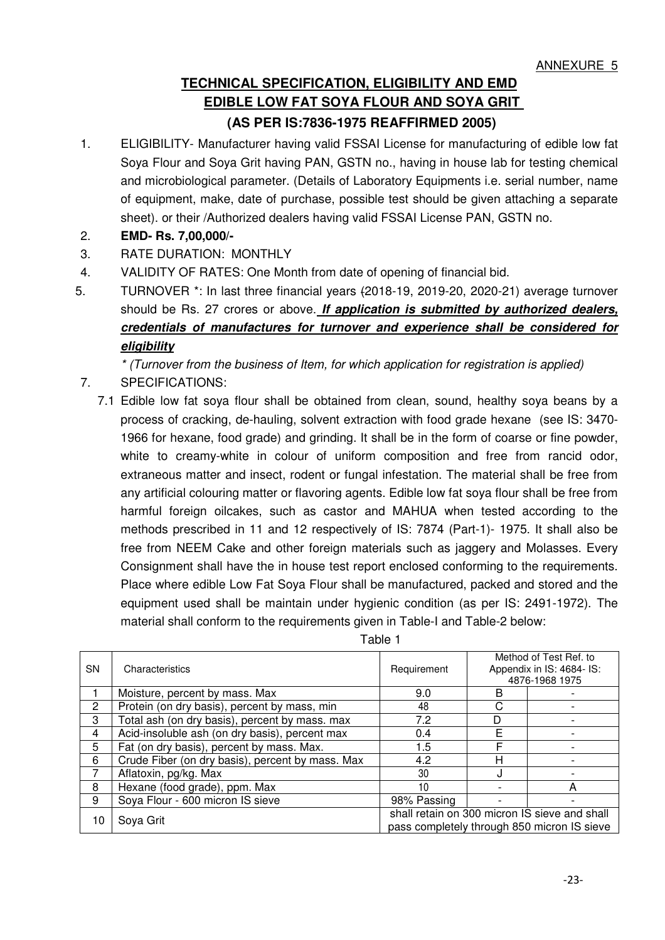# **TECHNICAL SPECIFICATION, ELIGIBILITY AND EMD EDIBLE LOW FAT SOYA FLOUR AND SOYA GRIT (AS PER IS:7836-1975 REAFFIRMED 2005)**

- 1. ELIGIBILITY- Manufacturer having valid FSSAI License for manufacturing of edible low fat Soya Flour and Soya Grit having PAN, GSTN no., having in house lab for testing chemical and microbiological parameter. (Details of Laboratory Equipments i.e. serial number, name of equipment, make, date of purchase, possible test should be given attaching a separate sheet). or their /Authorized dealers having valid FSSAI License PAN, GSTN no.
- 2. **EMD- Rs. 7,00,000/-**
- 3. RATE DURATION: MONTHLY
- 4. VALIDITY OF RATES: One Month from date of opening of financial bid.
- 5. TURNOVER \*: In last three financial years (2018-19, 2019-20, 2020-21) average turnover should be Rs. 27 crores or above. **If application is submitted by authorized dealers, credentials of manufactures for turnover and experience shall be considered for eligibility**

*\* (Turnover from the business of Item, for which application for registration is applied)* 

- 7. SPECIFICATIONS:
	- 7.1 Edible low fat soya flour shall be obtained from clean, sound, healthy soya beans by a process of cracking, de-hauling, solvent extraction with food grade hexane (see IS: 3470- 1966 for hexane, food grade) and grinding. It shall be in the form of coarse or fine powder, white to creamy-white in colour of uniform composition and free from rancid odor, extraneous matter and insect, rodent or fungal infestation. The material shall be free from any artificial colouring matter or flavoring agents. Edible low fat soya flour shall be free from harmful foreign oilcakes, such as castor and MAHUA when tested according to the methods prescribed in 11 and 12 respectively of IS: 7874 (Part-1)- 1975. It shall also be free from NEEM Cake and other foreign materials such as jaggery and Molasses. Every Consignment shall have the in house test report enclosed conforming to the requirements. Place where edible Low Fat Soya Flour shall be manufactured, packed and stored and the equipment used shall be maintain under hygienic condition (as per IS: 2491-1972). The material shall conform to the requirements given in Table-I and Table-2 below:

| <b>SN</b> | Characteristics                                  | Requirement                                                                                  |   | Method of Test Ref. to<br>Appendix in IS: 4684- IS:<br>4876-1968 1975 |
|-----------|--------------------------------------------------|----------------------------------------------------------------------------------------------|---|-----------------------------------------------------------------------|
|           | Moisture, percent by mass. Max                   | 9.0                                                                                          | B |                                                                       |
| 2         | Protein (on dry basis), percent by mass, min     | 48                                                                                           | С |                                                                       |
| 3         | Total ash (on dry basis), percent by mass. max   | 7.2                                                                                          | D |                                                                       |
| 4         | Acid-insoluble ash (on dry basis), percent max   | 0.4                                                                                          | F |                                                                       |
| 5         | Fat (on dry basis), percent by mass. Max.        | 1.5                                                                                          | F |                                                                       |
| 6         | Crude Fiber (on dry basis), percent by mass. Max | 4.2                                                                                          | н |                                                                       |
|           | Aflatoxin, pg/kg. Max                            | 30                                                                                           |   |                                                                       |
| 8         | Hexane (food grade), ppm. Max                    | 10                                                                                           |   | А                                                                     |
| 9         | Soya Flour - 600 micron IS sieve                 | 98% Passing                                                                                  |   |                                                                       |
| 10        | Soya Grit                                        | shall retain on 300 micron IS sieve and shall<br>pass completely through 850 micron IS sieve |   |                                                                       |

Table 1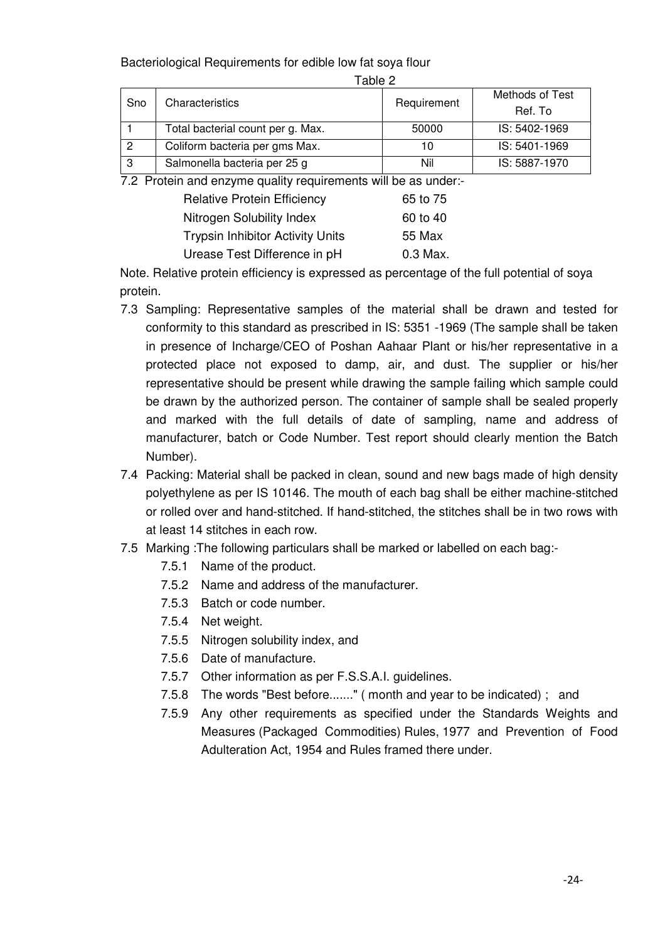Bacteriological Requirements for edible low fat soya flour

|     |                                   |             | Methods of Test |
|-----|-----------------------------------|-------------|-----------------|
| Sno | Characteristics                   | Requirement | Ref. To         |
|     | Total bacterial count per g. Max. | 50000       | IS: 5402-1969   |
|     | Coliform bacteria per gms Max.    | 10          | IS: 5401-1969   |
| 3   | Salmonella bacteria per 25 g      | Nil         | IS: 5887-1970   |

7.2 Protein and enzyme quality requirements will be as under:-

| <b>Relative Protein Efficiency</b>      | 65 to 75 |
|-----------------------------------------|----------|
| Nitrogen Solubility Index               | 60 to 40 |
| <b>Trypsin Inhibitor Activity Units</b> | 55 Max   |
| Urease Test Difference in pH            | 0.3 Max. |

Note. Relative protein efficiency is expressed as percentage of the full potential of soya protein.

- 7.3 Sampling: Representative samples of the material shall be drawn and tested for conformity to this standard as prescribed in IS: 5351 -1969 (The sample shall be taken in presence of Incharge/CEO of Poshan Aahaar Plant or his/her representative in a protected place not exposed to damp, air, and dust. The supplier or his/her representative should be present while drawing the sample failing which sample could be drawn by the authorized person. The container of sample shall be sealed properly and marked with the full details of date of sampling, name and address of manufacturer, batch or Code Number. Test report should clearly mention the Batch Number).
- 7.4 Packing: Material shall be packed in clean, sound and new bags made of high density polyethylene as per IS 10146. The mouth of each bag shall be either machine-stitched or rolled over and hand-stitched. If hand-stitched, the stitches shall be in two rows with at least 14 stitches in each row.
- 7.5 Marking :The following particulars shall be marked or labelled on each bag:-
	- 7.5.1 Name of the product.
	- 7.5.2 Name and address of the manufacturer.
	- 7.5.3 Batch or code number.
	- 7.5.4 Net weight.
	- 7.5.5 Nitrogen solubility index, and
	- 7.5.6 Date of manufacture.
	- 7.5.7 Other information as per F.S.S.A.I. guidelines.
	- 7.5.8 The words "Best before......." ( month and year to be indicated) ; and
	- 7.5.9 Any other requirements as specified under the Standards Weights and Measures (Packaged Commodities) Rules, 1977 and Prevention of Food Adulteration Act, 1954 and Rules framed there under.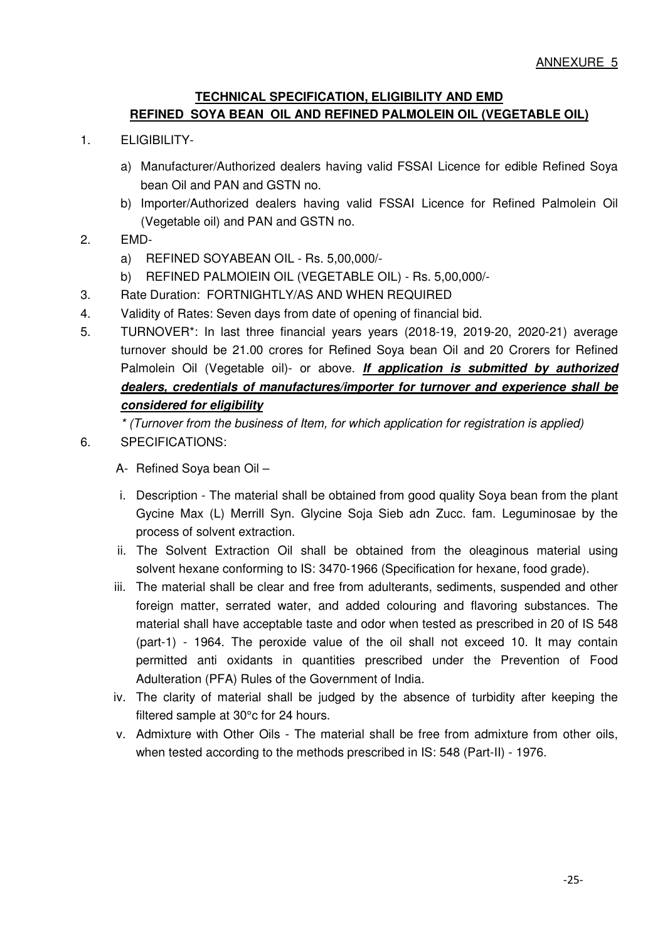## **TECHNICAL SPECIFICATION, ELIGIBILITY AND EMD REFINED SOYA BEAN OIL AND REFINED PALMOLEIN OIL (VEGETABLE OIL)**

- 1. ELIGIBILITY
	- a) Manufacturer/Authorized dealers having valid FSSAI Licence for edible Refined Soya bean Oil and PAN and GSTN no.
	- b) Importer/Authorized dealers having valid FSSAI Licence for Refined Palmolein Oil (Vegetable oil) and PAN and GSTN no.
- 2. EMD
	- a) REFINED SOYABEAN OIL Rs. 5,00,000/-
	- b) REFINED PALMOIEIN OIL (VEGETABLE OIL) Rs. 5,00,000/-
- 3. Rate Duration: FORTNIGHTLY/AS AND WHEN REQUIRED
- 4. Validity of Rates: Seven days from date of opening of financial bid.
- 5. TURNOVER\*: In last three financial years years (2018-19, 2019-20, 2020-21) average turnover should be 21.00 crores for Refined Soya bean Oil and 20 Crorers for Refined Palmolein Oil (Vegetable oil)- or above. **If application is submitted by authorized dealers, credentials of manufactures/importer for turnover and experience shall be considered for eligibility**

*\* (Turnover from the business of Item, for which application for registration is applied)* 

6. SPECIFICATIONS:

A- Refined Soya bean Oil –

- i. Description The material shall be obtained from good quality Soya bean from the plant Gycine Max (L) Merrill Syn. Glycine Soja Sieb adn Zucc. fam. Leguminosae by the process of solvent extraction.
- ii. The Solvent Extraction Oil shall be obtained from the oleaginous material using solvent hexane conforming to IS: 3470-1966 (Specification for hexane, food grade).
- iii. The material shall be clear and free from adulterants, sediments, suspended and other foreign matter, serrated water, and added colouring and flavoring substances. The material shall have acceptable taste and odor when tested as prescribed in 20 of IS 548 (part-1) - 1964. The peroxide value of the oil shall not exceed 10. It may contain permitted anti oxidants in quantities prescribed under the Prevention of Food Adulteration (PFA) Rules of the Government of India.
- iv. The clarity of material shall be judged by the absence of turbidity after keeping the filtered sample at 30°c for 24 hours.
- v. Admixture with Other Oils The material shall be free from admixture from other oils, when tested according to the methods prescribed in IS: 548 (Part-II) - 1976.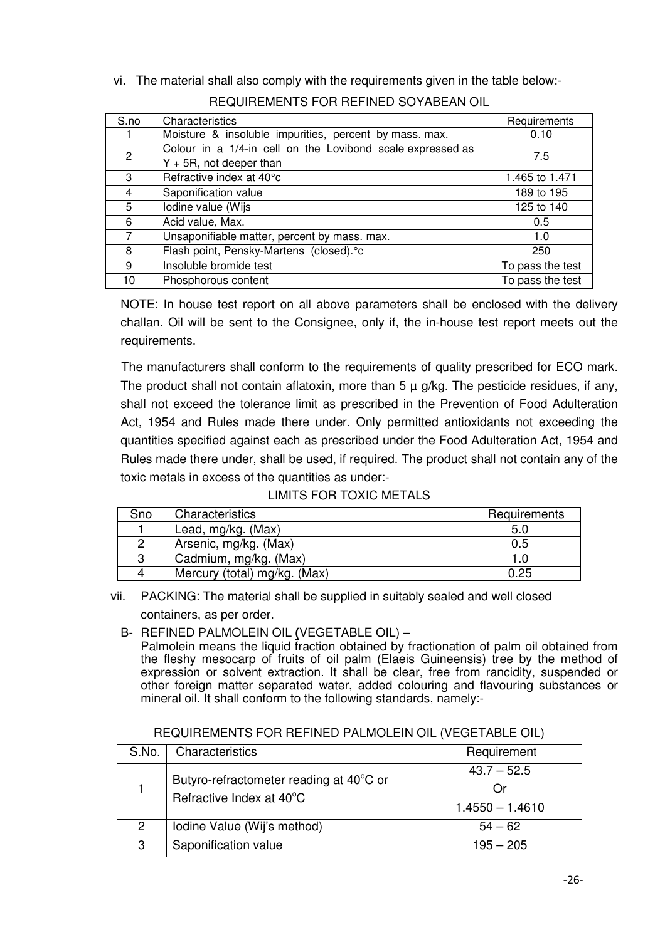# vi. The material shall also comply with the requirements given in the table below:- REQUIREMENTS FOR REFINED SOYABEAN OIL

| S.no           | Characteristics                                            | Requirements     |
|----------------|------------------------------------------------------------|------------------|
|                | Moisture & insoluble impurities, percent by mass. max.     | 0.10             |
| 2              | Colour in a 1/4-in cell on the Lovibond scale expressed as | 7.5              |
|                | $Y + 5R$ , not deeper than                                 |                  |
| 3              | Refractive index at 40°c                                   | 1.465 to 1.471   |
| 4              | Saponification value                                       | 189 to 195       |
| 5              | Iodine value (Wijs                                         | 125 to 140       |
| 6              | Acid value, Max.                                           | 0.5              |
| $\overline{7}$ | Unsaponifiable matter, percent by mass. max.               | 1.0              |
| 8              | Flash point, Pensky-Martens (closed).°c                    | 250              |
| 9              | Insoluble bromide test                                     | To pass the test |
| 10             | Phosphorous content                                        | To pass the test |

NOTE: In house test report on all above parameters shall be enclosed with the delivery challan. Oil will be sent to the Consignee, only if, the in-house test report meets out the requirements.

The manufacturers shall conform to the requirements of quality prescribed for ECO mark. The product shall not contain aflatoxin, more than  $5 \mu$  g/kg. The pesticide residues, if any, shall not exceed the tolerance limit as prescribed in the Prevention of Food Adulteration Act, 1954 and Rules made there under. Only permitted antioxidants not exceeding the quantities specified against each as prescribed under the Food Adulteration Act, 1954 and Rules made there under, shall be used, if required. The product shall not contain any of the toxic metals in excess of the quantities as under:-

| LIMITS FOR TOXIC METALS |  |
|-------------------------|--|
|-------------------------|--|

| Sno | Characteristics              | Requirements |
|-----|------------------------------|--------------|
|     | Lead, mg/kg. (Max)           | 5.0          |
|     | Arsenic, mg/kg. (Max)        | 0.5          |
| 3   | Cadmium, mg/kg. (Max)        |              |
| 4   | Mercury (total) mg/kg. (Max) | 0.25         |

vii. PACKING: The material shall be supplied in suitably sealed and well closed containers, as per order.

B- REFINED PALMOLEIN OIL **(**VEGETABLE OIL) –

Palmolein means the liquid fraction obtained by fractionation of palm oil obtained from the fleshy mesocarp of fruits of oil palm (Elaeis Guineensis) tree by the method of expression or solvent extraction. It shall be clear, free from rancidity, suspended or other foreign matter separated water, added colouring and flavouring substances or mineral oil. It shall conform to the following standards, namely:-

| S.No.                | Characteristics                                                     | Requirement                               |
|----------------------|---------------------------------------------------------------------|-------------------------------------------|
|                      | Butyro-refractometer reading at 40°C or<br>Refractive Index at 40°C | $43.7 - 52.5$<br>()r<br>$1.4550 - 1.4610$ |
| $\mathbf{2}^{\circ}$ | Iodine Value (Wij's method)                                         | $54 - 62$                                 |
| 3                    | Saponification value                                                | $195 - 205$                               |

REQUIREMENTS FOR REFINED PALMOLEIN OIL (VEGETABLE OIL)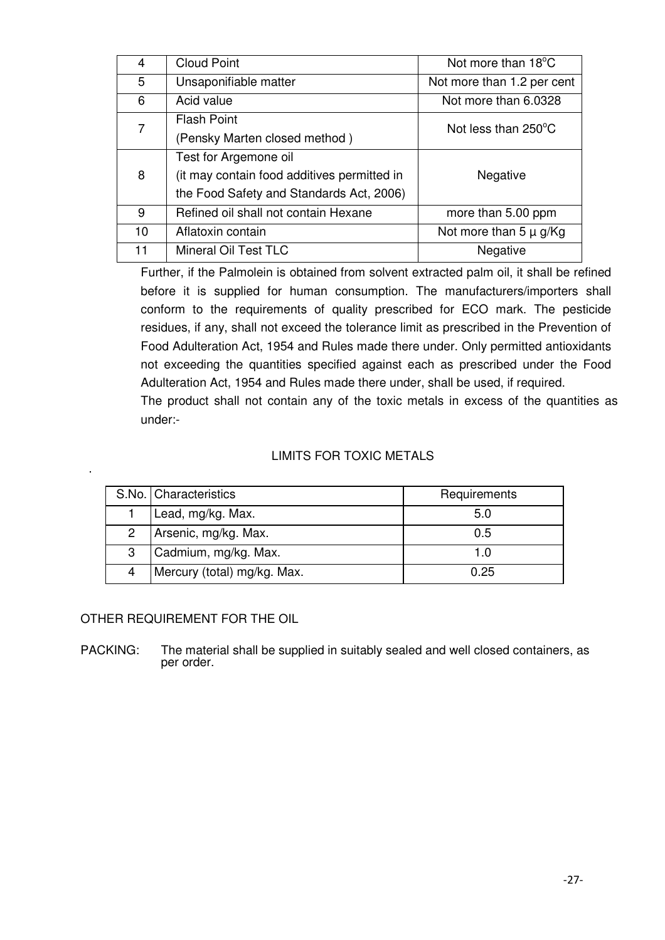| 4  | <b>Cloud Point</b>                          | Not more than 18°C         |
|----|---------------------------------------------|----------------------------|
| 5  | Unsaponifiable matter                       | Not more than 1.2 per cent |
| 6  | Acid value                                  | Not more than 6.0328       |
| 7  | <b>Flash Point</b>                          | Not less than 250°C        |
|    | (Pensky Marten closed method)               |                            |
|    | Test for Argemone oil                       |                            |
| 8  | (it may contain food additives permitted in | Negative                   |
|    | the Food Safety and Standards Act, 2006)    |                            |
| 9  | Refined oil shall not contain Hexane        | more than 5.00 ppm         |
| 10 | Aflatoxin contain                           | Not more than $5 \mu g/Kg$ |
| 11 | Mineral Oil Test TLC                        | Negative                   |

Further, if the Palmolein is obtained from solvent extracted palm oil, it shall be refined before it is supplied for human consumption. The manufacturers/importers shall conform to the requirements of quality prescribed for ECO mark. The pesticide residues, if any, shall not exceed the tolerance limit as prescribed in the Prevention of Food Adulteration Act, 1954 and Rules made there under. Only permitted antioxidants not exceeding the quantities specified against each as prescribed under the Food Adulteration Act, 1954 and Rules made there under, shall be used, if required.

The product shall not contain any of the toxic metals in excess of the quantities as under:-

# LIMITS FOR TOXIC METALS

|   | S.No.   Characteristics     | Requirements |
|---|-----------------------------|--------------|
|   | Lead, mg/kg. Max.           | 5.0          |
| 2 | Arsenic, mg/kg. Max.        | 0.5          |
| 3 | Cadmium, mg/kg. Max.        |              |
|   | Mercury (total) mg/kg. Max. | 0.25         |

OTHER REQUIREMENT FOR THE OIL

PACKING: The material shall be supplied in suitably sealed and well closed containers, as per order.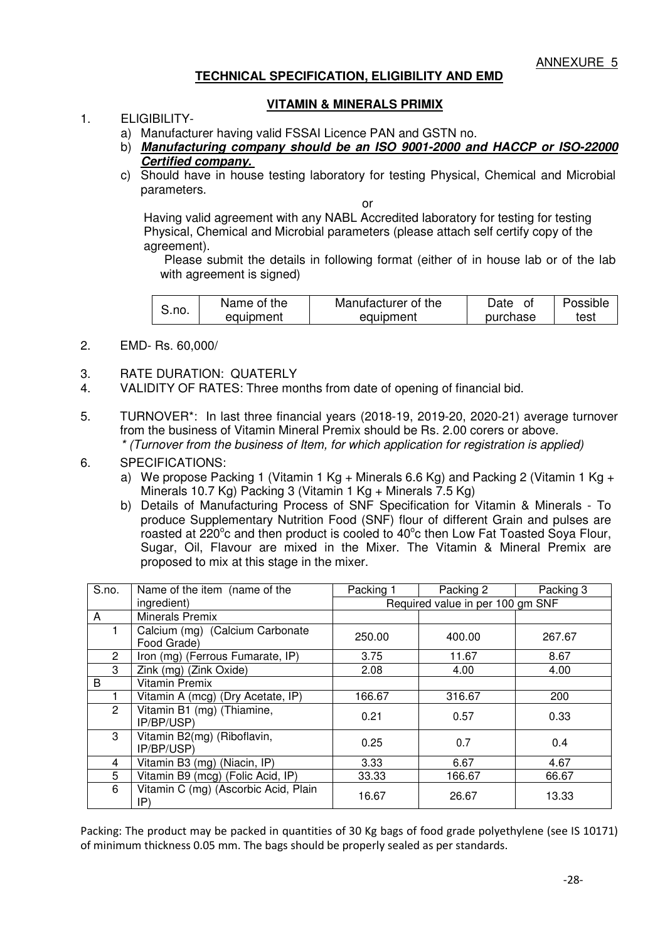#### **TECHNICAL SPECIFICATION, ELIGIBILITY AND EMD**

#### **VITAMIN & MINERALS PRIMIX**

### 1. ELIGIBILITY-

- a) Manufacturer having valid FSSAI Licence PAN and GSTN no.
- b) **Manufacturing company should be an ISO 9001-2000 and HACCP or ISO-22000 Certified company.**
- c) Should have in house testing laboratory for testing Physical, Chemical and Microbial parameters.

or

Having valid agreement with any NABL Accredited laboratory for testing for testing Physical, Chemical and Microbial parameters (please attach self certify copy of the agreement).

Please submit the details in following format (either of in house lab or of the lab with agreement is signed)

|       | Name of the | Manufacturer of the | Date     | Possible |
|-------|-------------|---------------------|----------|----------|
| S.no. | equipment   | equipment           | purchase | test     |

- 2. EMD- Rs. 60,000/
- 3. RATE DURATION: QUATERLY
- 4. VALIDITY OF RATES: Three months from date of opening of financial bid.
- 5. TURNOVER\*: In last three financial years (2018-19, 2019-20, 2020-21) average turnover from the business of Vitamin Mineral Premix should be Rs. 2.00 corers or above. *\* (Turnover from the business of Item, for which application for registration is applied)*
- 6. SPECIFICATIONS:
	- a) We propose Packing 1 (Vitamin 1 Kg + Minerals 6.6 Kg) and Packing 2 (Vitamin 1 Kg + Minerals 10.7 Kg) Packing 3 (Vitamin 1 Kg + Minerals 7.5 Kg)
	- b) Details of Manufacturing Process of SNF Specification for Vitamin & Minerals To produce Supplementary Nutrition Food (SNF) flour of different Grain and pulses are roasted at 220 $^{\circ}$ c and then product is cooled to 40 $^{\circ}$ c then Low Fat Toasted Soya Flour, Sugar, Oil, Flavour are mixed in the Mixer. The Vitamin & Mineral Premix are proposed to mix at this stage in the mixer.

| S.no.          | Name of the item (name of the                  | Packing 1 | Packing 2                        | Packing 3 |  |
|----------------|------------------------------------------------|-----------|----------------------------------|-----------|--|
|                | ingredient)                                    |           | Required value in per 100 gm SNF |           |  |
| A              | <b>Minerals Premix</b>                         |           |                                  |           |  |
|                | Calcium (mg) (Calcium Carbonate<br>Food Grade) | 250.00    | 400.00                           | 267.67    |  |
| $\overline{2}$ | Iron (mg) (Ferrous Fumarate, IP)               | 3.75      | 11.67                            | 8.67      |  |
| 3              | Zink (mg) (Zink Oxide)                         | 2.08      | 4.00                             | 4.00      |  |
| B              | <b>Vitamin Premix</b>                          |           |                                  |           |  |
|                | Vitamin A (mcg) (Dry Acetate, IP)              | 166.67    | 316.67                           | 200       |  |
| $\overline{2}$ | Vitamin B1 (mg) (Thiamine,<br>IP/BP/USP)       | 0.21      | 0.57                             | 0.33      |  |
| 3              | Vitamin B2(mg) (Riboflavin,<br>IP/BP/USP)      | 0.25      | 0.7                              | 0.4       |  |
| 4              | Vitamin B3 (mg) (Niacin, IP)                   | 3.33      | 6.67                             | 4.67      |  |
| 5              | Vitamin B9 (mcg) (Folic Acid, IP)              | 33.33     | 166.67                           | 66.67     |  |
| 6              | Vitamin C (mg) (Ascorbic Acid, Plain<br>IP)    | 16.67     | 26.67                            | 13.33     |  |

Packing: The product may be packed in quantities of 30 Kg bags of food grade polyethylene (see IS 10171) of minimum thickness 0.05 mm. The bags should be properly sealed as per standards.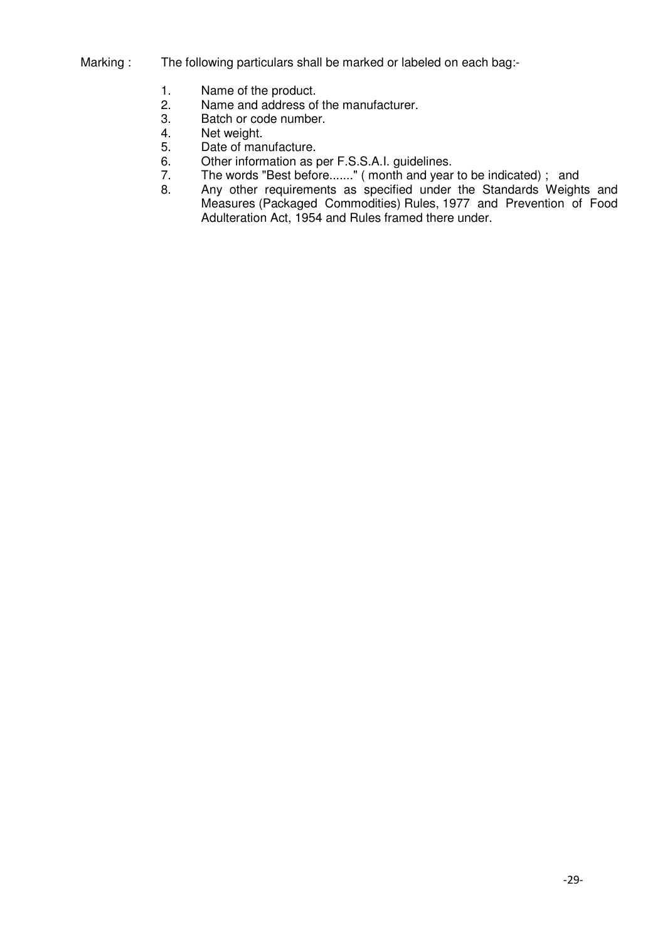- Marking : The following particulars shall be marked or labeled on each bag:-
	- 1. Name of the product.<br>2. Name and address of
	- 2. Name and address of the manufacturer.<br>3. Batch or code number.
	- 3. Batch or code number.<br>4. Net weight.
	- Net weight.
	- 5. Date of manufacture.
	- 6. Other information as per F.S.S.A.I. guidelines.
	- 7. The words "Best before......." (month and year to be indicated); and<br>8. Any other requirements as specified under the Standards Weight
	- Any other requirements as specified under the Standards Weights and Measures (Packaged Commodities) Rules, 1977 and Prevention of Food Adulteration Act, 1954 and Rules framed there under.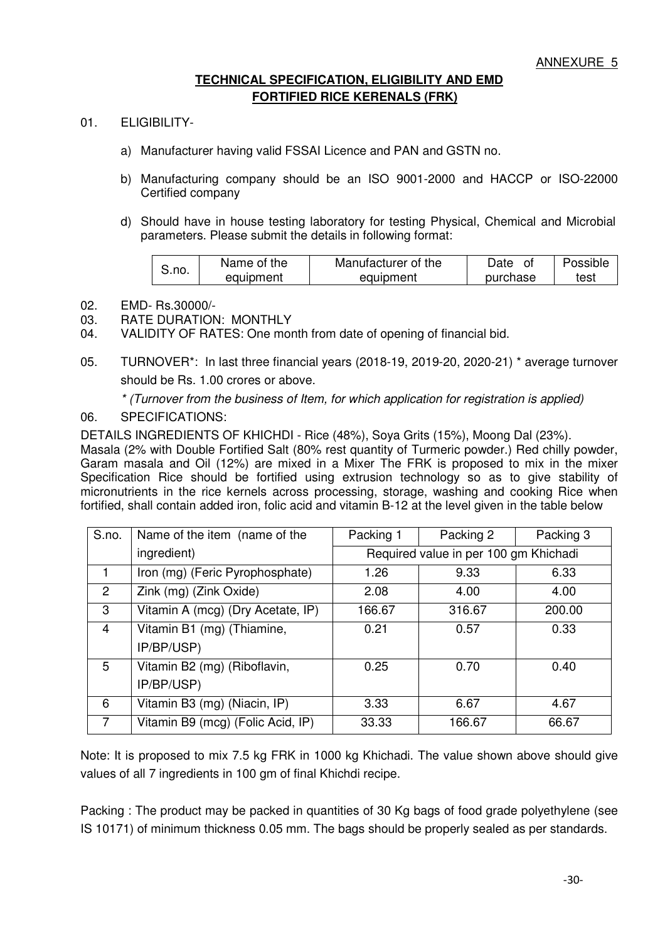# **TECHNICAL SPECIFICATION, ELIGIBILITY AND EMD FORTIFIED RICE KERENALS (FRK)**

- 01. ELIGIBILITY
	- a) Manufacturer having valid FSSAI Licence and PAN and GSTN no.
	- b) Manufacturing company should be an ISO 9001-2000 and HACCP or ISO-22000 Certified company
	- d) Should have in house testing laboratory for testing Physical, Chemical and Microbial parameters. Please submit the details in following format:

| S.no. | Name of the | Manufacturer of the | Date     | Possible |
|-------|-------------|---------------------|----------|----------|
|       | equipment   | equipment           | purchase | test     |

- 02. EMD- Rs.30000/-
- 03. RATE DURATION: MONTHLY
- 04. VALIDITY OF RATES: One month from date of opening of financial bid.
- 05. TURNOVER\*: In last three financial years (2018-19, 2019-20, 2020-21) \* average turnover should be Rs. 1.00 crores or above.

*\* (Turnover from the business of Item, for which application for registration is applied)* 

#### 06. SPECIFICATIONS:

DETAILS INGREDIENTS OF KHICHDI - Rice (48%), Soya Grits (15%), Moong Dal (23%).

Masala (2% with Double Fortified Salt (80% rest quantity of Turmeric powder.) Red chilly powder, Garam masala and Oil (12%) are mixed in a Mixer The FRK is proposed to mix in the mixer Specification Rice should be fortified using extrusion technology so as to give stability of micronutrients in the rice kernels across processing, storage, washing and cooking Rice when fortified, shall contain added iron, folic acid and vitamin B-12 at the level given in the table below

| S.no.          | Name of the item (name of the     | Packing 1 | Packing 2                             | Packing 3 |  |
|----------------|-----------------------------------|-----------|---------------------------------------|-----------|--|
|                | ingredient)                       |           | Required value in per 100 gm Khichadi |           |  |
| 1              | Iron (mg) (Feric Pyrophosphate)   | 1.26      | 9.33                                  | 6.33      |  |
| $\overline{2}$ | Zink (mg) (Zink Oxide)            | 2.08      | 4.00                                  | 4.00      |  |
| 3              | Vitamin A (mcg) (Dry Acetate, IP) | 166.67    | 316.67                                | 200.00    |  |
| $\overline{4}$ | Vitamin B1 (mg) (Thiamine,        | 0.21      | 0.57                                  | 0.33      |  |
|                | IP/BP/USP)                        |           |                                       |           |  |
| 5              | Vitamin B2 (mg) (Riboflavin,      | 0.25      | 0.70                                  | 0.40      |  |
|                | IP/BP/USP)                        |           |                                       |           |  |
| 6              | Vitamin B3 (mg) (Niacin, IP)      | 3.33      | 6.67                                  | 4.67      |  |
| 7              | Vitamin B9 (mcg) (Folic Acid, IP) | 33.33     | 166.67                                | 66.67     |  |

Note: It is proposed to mix 7.5 kg FRK in 1000 kg Khichadi. The value shown above should give values of all 7 ingredients in 100 gm of final Khichdi recipe.

Packing : The product may be packed in quantities of 30 Kg bags of food grade polyethylene (see IS 10171) of minimum thickness 0.05 mm. The bags should be properly sealed as per standards.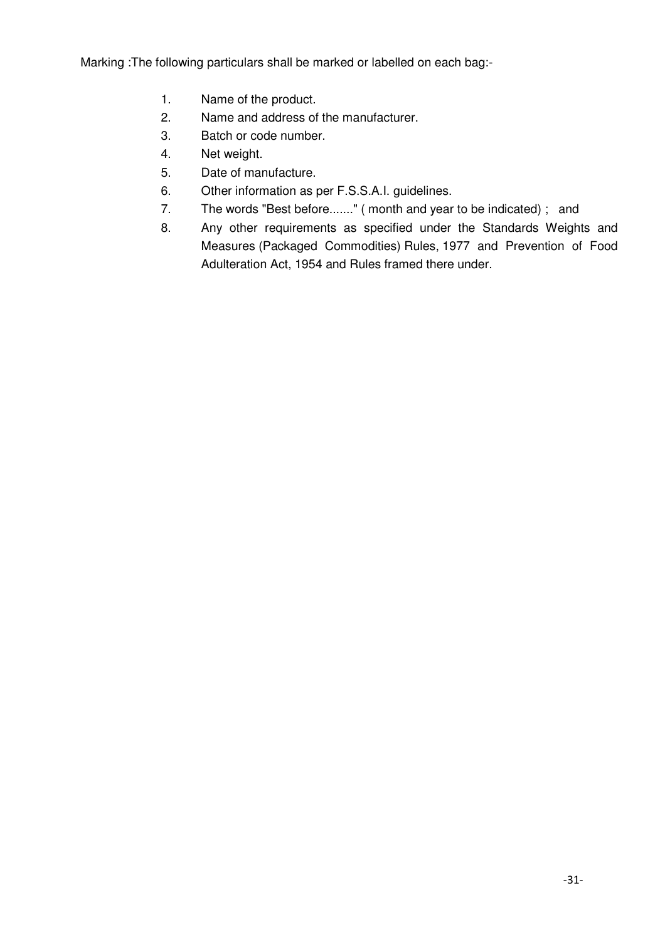Marking :The following particulars shall be marked or labelled on each bag:-

- 1. Name of the product.
- 2. Name and address of the manufacturer.
- 3. Batch or code number.
- 4. Net weight.
- 5. Date of manufacture.
- 6. Other information as per F.S.S.A.I. guidelines.
- 7. The words "Best before......." ( month and year to be indicated) ; and
- 8. Any other requirements as specified under the Standards Weights and Measures (Packaged Commodities) Rules, 1977 and Prevention of Food Adulteration Act, 1954 and Rules framed there under.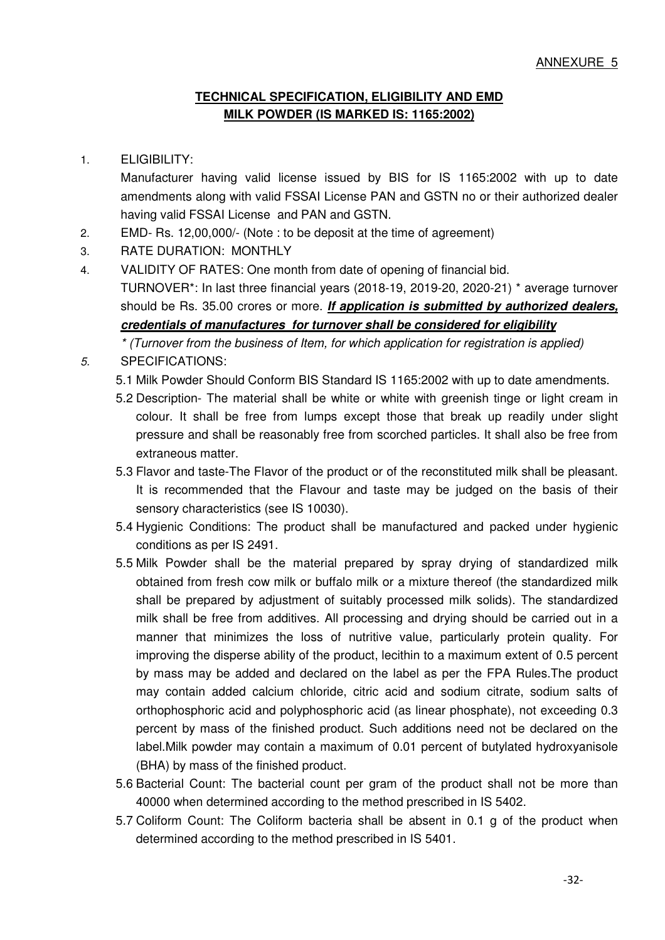# **TECHNICAL SPECIFICATION, ELIGIBILITY AND EMD MILK POWDER (IS MARKED IS: 1165:2002)**

## 1. ELIGIBILITY:

Manufacturer having valid license issued by BIS for IS 1165:2002 with up to date amendments along with valid FSSAI License PAN and GSTN no or their authorized dealer having valid FSSAI License and PAN and GSTN.

- 2. EMD- Rs. 12,00,000/- (Note : to be deposit at the time of agreement)
- 3. RATE DURATION: MONTHLY
- 4. VALIDITY OF RATES: One month from date of opening of financial bid. TURNOVER\*: In last three financial years (2018-19, 2019-20, 2020-21) \* average turnover should be Rs. 35.00 crores or more. **If application is submitted by authorized dealers, credentials of manufactures for turnover shall be considered for eligibility**

*\* (Turnover from the business of Item, for which application for registration is applied) 5.* SPECIFICATIONS:

- 5.1 Milk Powder Should Conform BIS Standard IS 1165:2002 with up to date amendments.
- 5.2 Description- The material shall be white or white with greenish tinge or light cream in colour. It shall be free from lumps except those that break up readily under slight pressure and shall be reasonably free from scorched particles. It shall also be free from extraneous matter.
- 5.3 Flavor and taste-The Flavor of the product or of the reconstituted milk shall be pleasant. It is recommended that the Flavour and taste may be judged on the basis of their sensory characteristics (see IS 10030).
- 5.4 Hygienic Conditions: The product shall be manufactured and packed under hygienic conditions as per IS 2491.
- 5.5 Milk Powder shall be the material prepared by spray drying of standardized milk obtained from fresh cow milk or buffalo milk or a mixture thereof (the standardized milk shall be prepared by adjustment of suitably processed milk solids). The standardized milk shall be free from additives. All processing and drying should be carried out in a manner that minimizes the loss of nutritive value, particularly protein quality. For improving the disperse ability of the product, lecithin to a maximum extent of 0.5 percent by mass may be added and declared on the label as per the FPA Rules.The product may contain added calcium chloride, citric acid and sodium citrate, sodium salts of orthophosphoric acid and polyphosphoric acid (as linear phosphate), not exceeding 0.3 percent by mass of the finished product. Such additions need not be declared on the label.Milk powder may contain a maximum of 0.01 percent of butylated hydroxyanisole (BHA) by mass of the finished product.
- 5.6 Bacterial Count: The bacterial count per gram of the product shall not be more than 40000 when determined according to the method prescribed in IS 5402.
- 5.7 Coliform Count: The Coliform bacteria shall be absent in 0.1 g of the product when determined according to the method prescribed in IS 5401.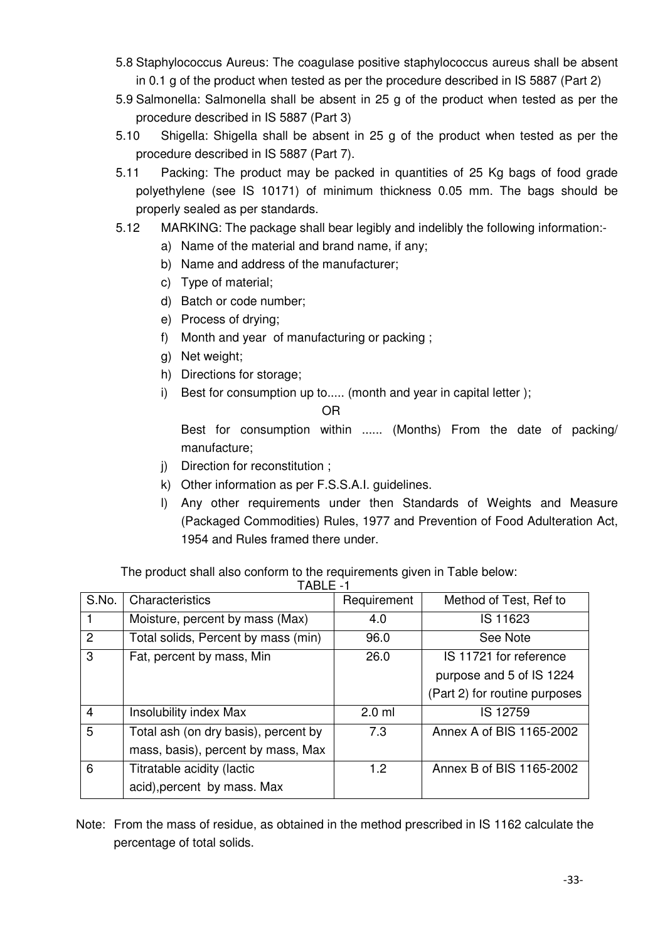- 5.8 Staphylococcus Aureus: The coagulase positive staphylococcus aureus shall be absent in 0.1 g of the product when tested as per the procedure described in IS 5887 (Part 2)
- 5.9 Salmonella: Salmonella shall be absent in 25 g of the product when tested as per the procedure described in IS 5887 (Part 3)
- 5.10 Shigella: Shigella shall be absent in 25 g of the product when tested as per the procedure described in IS 5887 (Part 7).
- 5.11 Packing: The product may be packed in quantities of 25 Kg bags of food grade polyethylene (see IS 10171) of minimum thickness 0.05 mm. The bags should be properly sealed as per standards.
- 5.12 MARKING: The package shall bear legibly and indelibly the following information:
	- a) Name of the material and brand name, if any;
	- b) Name and address of the manufacturer;
	- c) Type of material;
	- d) Batch or code number;
	- e) Process of drying;
	- f) Month and year of manufacturing or packing ;
	- g) Net weight;
	- h) Directions for storage;
	- i) Best for consumption up to..... (month and year in capital letter );

### OR

Best for consumption within ...... (Months) From the date of packing/ manufacture;

- j) Direction for reconstitution ;
- k) Other information as per F.S.S.A.I. guidelines.
- l) Any other requirements under then Standards of Weights and Measure (Packaged Commodities) Rules, 1977 and Prevention of Food Adulteration Act, 1954 and Rules framed there under.

The product shall also conform to the requirements given in Table below:

| TABLE -1       |                                      |             |                               |  |  |  |
|----------------|--------------------------------------|-------------|-------------------------------|--|--|--|
| S.No.          | Characteristics                      | Requirement | Method of Test, Ref to        |  |  |  |
|                | Moisture, percent by mass (Max)      | 4.0         | IS 11623                      |  |  |  |
| $\overline{2}$ | Total solids, Percent by mass (min)  | 96.0        | See Note                      |  |  |  |
| 3              | Fat, percent by mass, Min            | 26.0        | IS 11721 for reference        |  |  |  |
|                |                                      |             | purpose and 5 of IS 1224      |  |  |  |
|                |                                      |             | (Part 2) for routine purposes |  |  |  |
| $\overline{4}$ | Insolubility index Max               | $2.0$ ml    | IS 12759                      |  |  |  |
| 5              | Total ash (on dry basis), percent by | 7.3         | Annex A of BIS 1165-2002      |  |  |  |
|                | mass, basis), percent by mass, Max   |             |                               |  |  |  |
| 6              | Titratable acidity (lactic           | 1.2         | Annex B of BIS 1165-2002      |  |  |  |
|                | acid), percent by mass. Max          |             |                               |  |  |  |

Note: From the mass of residue, as obtained in the method prescribed in IS 1162 calculate the percentage of total solids.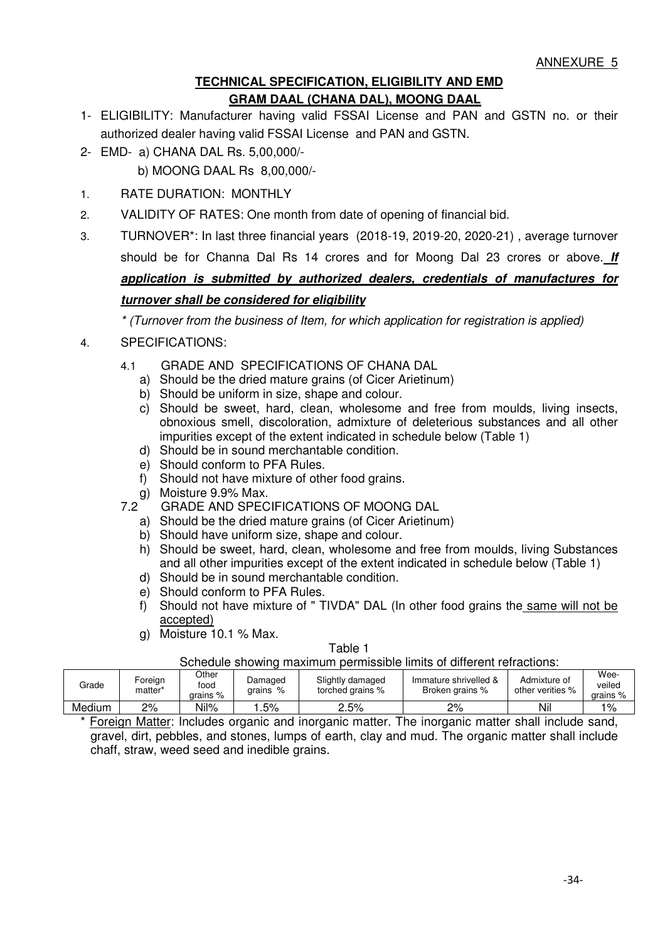## **TECHNICAL SPECIFICATION, ELIGIBILITY AND EMD GRAM DAAL (CHANA DAL), MOONG DAAL**

- 1- ELIGIBILITY: Manufacturer having valid FSSAI License and PAN and GSTN no. or their authorized dealer having valid FSSAI License and PAN and GSTN.
- 2- EMD- a) CHANA DAL Rs. 5,00,000/
	- b) MOONG DAAL Rs 8,00,000/-
- 1. RATE DURATION: MONTHLY
- 2. VALIDITY OF RATES: One month from date of opening of financial bid.
- 3. TURNOVER\*: In last three financial years (2018-19, 2019-20, 2020-21) , average turnover should be for Channa Dal Rs 14 crores and for Moong Dal 23 crores or above. **If application is submitted by authorized dealers, credentials of manufactures for turnover shall be considered for eligibility**

*\* (Turnover from the business of Item, for which application for registration is applied)* 

- 4. SPECIFICATIONS:
	- 4.1 GRADE AND SPECIFICATIONS OF CHANA DAL
		- a) Should be the dried mature grains (of Cicer Arietinum)
		- b) Should be uniform in size, shape and colour.
		- c) Should be sweet, hard, clean, wholesome and free from moulds, living insects, obnoxious smell, discoloration, admixture of deleterious substances and all other impurities except of the extent indicated in schedule below (Table 1)
		- d) Should be in sound merchantable condition.
		- e) Should conform to PFA Rules.
		- f) Should not have mixture of other food grains.
	- g) Moisture 9.9% Max.<br>7.2 GRADE AND SPEC
	- GRADE AND SPECIFICATIONS OF MOONG DAL
		- a) Should be the dried mature grains (of Cicer Arietinum)
		- b) Should have uniform size, shape and colour.
		- h) Should be sweet, hard, clean, wholesome and free from moulds, living Substances and all other impurities except of the extent indicated in schedule below (Table 1)
		- d) Should be in sound merchantable condition.
		- e) Should conform to PFA Rules.
		- f) Should not have mixture of " TIVDA" DAL (In other food grains the same will not be accepted)
		- g) Moisture 10.1 % Max.

#### Table 1

Schedule showing maximum permissible limits of different refractions:

| Grade         | Foreign<br>matter* | Other<br>food<br>$arains %$ | Damaged<br>$\%$<br>arains | Slightly damaged<br>torched grains % | Immature shrivelled &<br>Broken grains % | Admixture of<br>other verities % | Wee-<br>veiled<br>$arains %$ |
|---------------|--------------------|-----------------------------|---------------------------|--------------------------------------|------------------------------------------|----------------------------------|------------------------------|
| Medium        | 2%                 | Nil%                        | .5%                       | 2.5%                                 | 2%                                       | Nil                              | 1%                           |
| $\sim$ $\sim$ |                    |                             |                           | .                                    | $ -$                                     |                                  |                              |

Foreign Matter: Includes organic and inorganic matter. The inorganic matter shall include sand, gravel, dirt, pebbles, and stones, lumps of earth, clay and mud. The organic matter shall include chaff, straw, weed seed and inedible grains.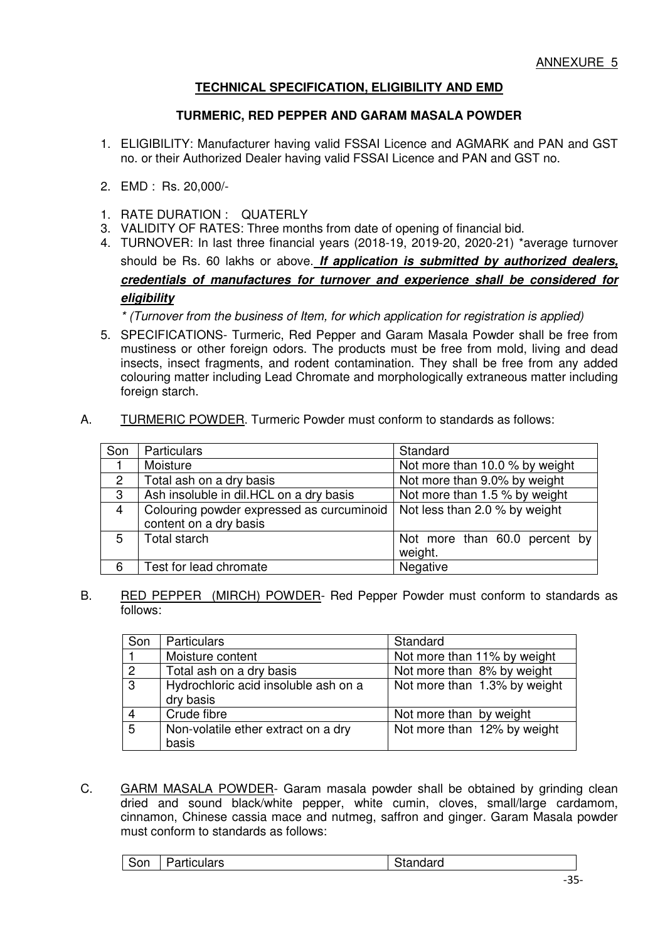## **TECHNICAL SPECIFICATION, ELIGIBILITY AND EMD**

#### **TURMERIC, RED PEPPER AND GARAM MASALA POWDER**

- 1. ELIGIBILITY: Manufacturer having valid FSSAI Licence and AGMARK and PAN and GST no. or their Authorized Dealer having valid FSSAI Licence and PAN and GST no.
- 2. EMD : Rs. 20,000/-
- 1. RATE DURATION : QUATERLY
- 3. VALIDITY OF RATES: Three months from date of opening of financial bid.
- 4. TURNOVER: In last three financial years (2018-19, 2019-20, 2020-21) \*average turnover should be Rs. 60 lakhs or above. **If application is submitted by authorized dealers, credentials of manufactures for turnover and experience shall be considered for eligibility**

*\* (Turnover from the business of Item, for which application for registration is applied)* 

- 5. SPECIFICATIONS- Turmeric, Red Pepper and Garam Masala Powder shall be free from mustiness or other foreign odors. The products must be free from mold, living and dead insects, insect fragments, and rodent contamination. They shall be free from any added colouring matter including Lead Chromate and morphologically extraneous matter including foreign starch.
- A. TURMERIC POWDER. Turmeric Powder must conform to standards as follows:

| Son | Particulars                               | Standard                       |
|-----|-------------------------------------------|--------------------------------|
|     | Moisture                                  | Not more than 10.0 % by weight |
| 2   | Total ash on a dry basis                  | Not more than 9.0% by weight   |
| 3   | Ash insoluble in dil.HCL on a dry basis   | Not more than 1.5 % by weight  |
| 4   | Colouring powder expressed as curcuminoid | Not less than 2.0 % by weight  |
|     | content on a dry basis                    |                                |
| 5   | Total starch                              | Not more than 60.0 percent by  |
|     |                                           | weight.                        |
| 6   | Test for lead chromate                    | Negative                       |

B. RED PEPPER (MIRCH) POWDER- Red Pepper Powder must conform to standards as follows:

| Son             | <b>Particulars</b>                   | Standard                     |
|-----------------|--------------------------------------|------------------------------|
|                 | Moisture content                     | Not more than 11% by weight  |
| $\overline{2}$  | Total ash on a dry basis             | Not more than 8% by weight   |
| $\sqrt{3}$      | Hydrochloric acid insoluble ash on a | Not more than 1.3% by weight |
|                 | dry basis                            |                              |
|                 | Crude fibre                          | Not more than by weight      |
| $5\overline{)}$ | Non-volatile ether extract on a dry  | Not more than 12% by weight  |
|                 | basis                                |                              |

C. GARM MASALA POWDER- Garam masala powder shall be obtained by grinding clean dried and sound black/white pepper, white cumin, cloves, small/large cardamom, cinnamon, Chinese cassia mace and nutmeg, saffron and ginger. Garam Masala powder must conform to standards as follows:

| culars'<br>нс<br>ווזר<br>ъ<br>iuai u<br>วเd.<br>ື |
|---------------------------------------------------|
|---------------------------------------------------|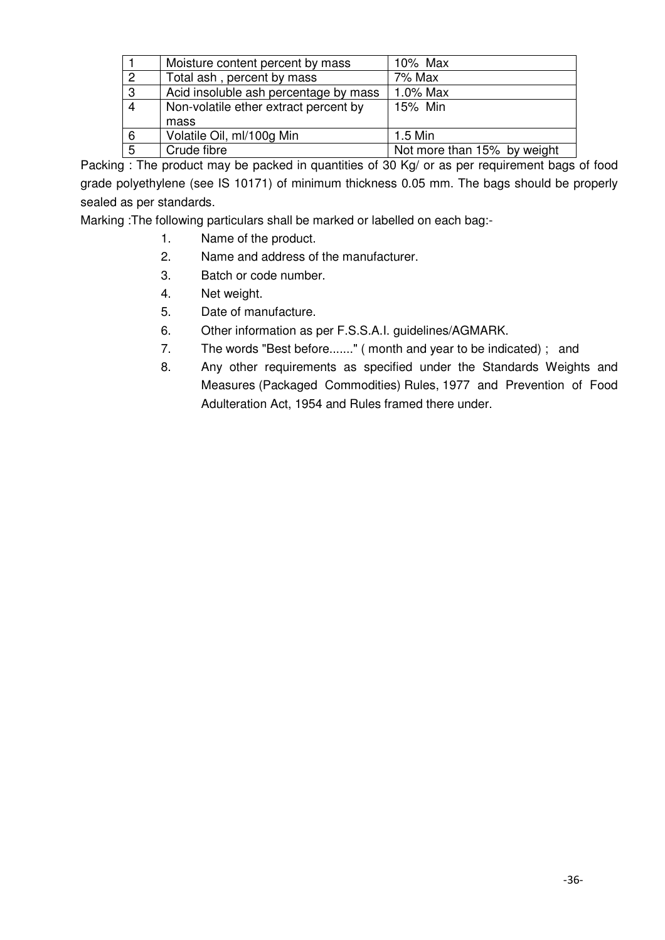|                | Moisture content percent by mass      | 10% Max                     |
|----------------|---------------------------------------|-----------------------------|
| 2              | Total ash, percent by mass            | 7% Max                      |
| $\mathbf{3}$   | Acid insoluble ash percentage by mass | 1.0% Max                    |
| $\overline{4}$ | Non-volatile ether extract percent by | 15% Min                     |
|                | mass                                  |                             |
| 6              | Volatile Oil, ml/100g Min             | 1.5 Min                     |
| 5              | Crude fibre                           | Not more than 15% by weight |

Packing : The product may be packed in quantities of 30 Kg/ or as per requirement bags of food grade polyethylene (see IS 10171) of minimum thickness 0.05 mm. The bags should be properly sealed as per standards.

Marking :The following particulars shall be marked or labelled on each bag:-

- 1. Name of the product.
- 2. Name and address of the manufacturer.
- 3. Batch or code number.
- 4. Net weight.
- 5. Date of manufacture.
- 6. Other information as per F.S.S.A.I. guidelines/AGMARK.
- 7. The words "Best before......." ( month and year to be indicated) ; and
- 8. Any other requirements as specified under the Standards Weights and Measures (Packaged Commodities) Rules, 1977 and Prevention of Food Adulteration Act, 1954 and Rules framed there under.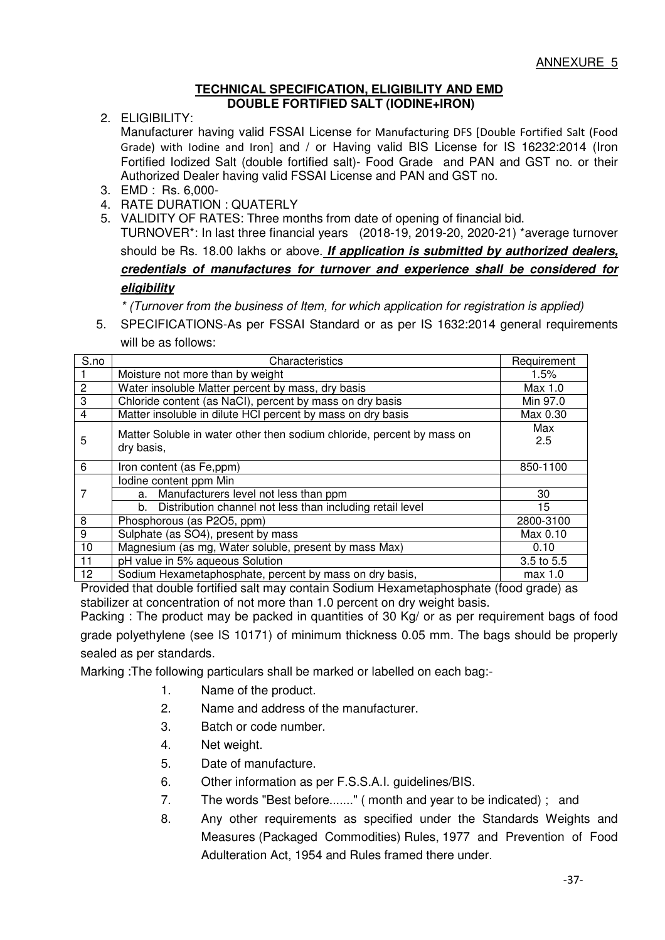#### **TECHNICAL SPECIFICATION, ELIGIBILITY AND EMD DOUBLE FORTIFIED SALT (IODINE+IRON)**

2. ELIGIBILITY:

Manufacturer having valid FSSAI License for Manufacturing DFS [Double Fortified Salt (Food Grade) with Iodine and Iron] and / or Having valid BIS License for IS 16232:2014 (Iron Fortified Iodized Salt (double fortified salt)- Food Grade and PAN and GST no. or their Authorized Dealer having valid FSSAI License and PAN and GST no.

- 3. EMD : Rs. 6,000-
- 4. RATE DURATION : QUATERLY
- 5. VALIDITY OF RATES: Three months from date of opening of financial bid.

TURNOVER\*: In last three financial years (2018-19, 2019-20, 2020-21) \*average turnover should be Rs. 18.00 lakhs or above. **If application is submitted by authorized dealers,**

# **credentials of manufactures for turnover and experience shall be considered for eligibility**

*\* (Turnover from the business of Item, for which application for registration is applied)* 

5. SPECIFICATIONS-As per FSSAI Standard or as per IS 1632:2014 general requirements will be as follows:

| S.no           | Characteristics                                                                      | Requirement |
|----------------|--------------------------------------------------------------------------------------|-------------|
|                | Moisture not more than by weight                                                     | 1.5%        |
| $\overline{c}$ | Water insoluble Matter percent by mass, dry basis                                    | Max 1.0     |
| 3              | Chloride content (as NaCl), percent by mass on dry basis                             | Min 97.0    |
| 4              | Matter insoluble in dilute HCI percent by mass on dry basis                          | Max 0.30    |
| 5              | Matter Soluble in water other then sodium chloride, percent by mass on<br>dry basis, | Max<br>2.5  |
| 6              | Iron content (as Fe,ppm)                                                             | 850-1100    |
|                | lodine content ppm Min                                                               |             |
|                | a. Manufacturers level not less than ppm                                             | 30          |
|                | b. Distribution channel not less than including retail level                         | 15          |
| 8              | Phosphorous (as P2O5, ppm)                                                           | 2800-3100   |
| 9              | Sulphate (as SO4), present by mass<br>Max 0.10                                       |             |
| 10             | Magnesium (as mg, Water soluble, present by mass Max)                                | 0.10        |
| 11             | pH value in 5% aqueous Solution                                                      | 3.5 to 5.5  |
| 12             | Sodium Hexametaphosphate, percent by mass on dry basis,                              | max 1.0     |

Provided that double fortified salt may contain Sodium Hexametaphosphate (food grade) as stabilizer at concentration of not more than 1.0 percent on dry weight basis.

Packing : The product may be packed in quantities of 30 Kg/ or as per requirement bags of food grade polyethylene (see IS 10171) of minimum thickness 0.05 mm. The bags should be properly sealed as per standards.

Marking :The following particulars shall be marked or labelled on each bag:-

- 1. Name of the product.
- 2. Name and address of the manufacturer.
- 3. Batch or code number.
- 4. Net weight.
- 5. Date of manufacture.
- 6. Other information as per F.S.S.A.I. guidelines/BIS.
- 7. The words "Best before......." ( month and year to be indicated) ; and
- 8. Any other requirements as specified under the Standards Weights and Measures (Packaged Commodities) Rules, 1977 and Prevention of Food Adulteration Act, 1954 and Rules framed there under.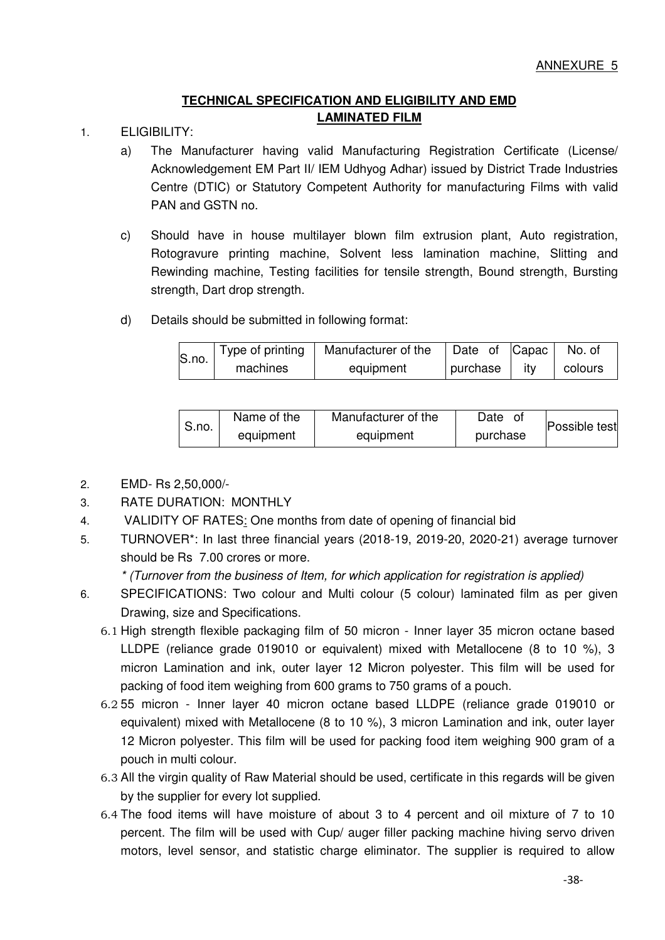# **TECHNICAL SPECIFICATION AND ELIGIBILITY AND EMD LAMINATED FILM**

- 1. ELIGIBILITY:
	- a) The Manufacturer having valid Manufacturing Registration Certificate (License/ Acknowledgement EM Part II/ IEM Udhyog Adhar) issued by District Trade Industries Centre (DTIC) or Statutory Competent Authority for manufacturing Films with valid PAN and GSTN no.
	- c) Should have in house multilayer blown film extrusion plant, Auto registration, Rotogravure printing machine, Solvent less lamination machine, Slitting and Rewinding machine, Testing facilities for tensile strength, Bound strength, Bursting strength, Dart drop strength.
	- d) Details should be submitted in following format:

| S.no. | Type of printing | Manufacturer of the | Date of Capac |     | No. of  |
|-------|------------------|---------------------|---------------|-----|---------|
|       | machines         | equipment           | purchase      | itv | colours |

| S.no. | Name of the | Manufacturer of the | Date<br>Οt | Possible test |
|-------|-------------|---------------------|------------|---------------|
|       | equipment   | equipment           | purchase   |               |

- 2. EMD- Rs 2,50,000/-
- 3. RATE DURATION: MONTHLY
- 4. VALIDITY OF RATES: One months from date of opening of financial bid
- 5. TURNOVER\*: In last three financial years (2018-19, 2019-20, 2020-21) average turnover should be Rs 7.00 crores or more.

*\* (Turnover from the business of Item, for which application for registration is applied)* 

- 6. SPECIFICATIONS: Two colour and Multi colour (5 colour) laminated film as per given Drawing, size and Specifications.
	- 6.1 High strength flexible packaging film of 50 micron Inner layer 35 micron octane based LLDPE (reliance grade 019010 or equivalent) mixed with Metallocene (8 to 10 %), 3 micron Lamination and ink, outer layer 12 Micron polyester. This film will be used for packing of food item weighing from 600 grams to 750 grams of a pouch.
	- 6.2 55 micron Inner layer 40 micron octane based LLDPE (reliance grade 019010 or equivalent) mixed with Metallocene (8 to 10 %), 3 micron Lamination and ink, outer layer 12 Micron polyester. This film will be used for packing food item weighing 900 gram of a pouch in multi colour.
	- 6.3 All the virgin quality of Raw Material should be used, certificate in this regards will be given by the supplier for every lot supplied.
	- 6.4 The food items will have moisture of about 3 to 4 percent and oil mixture of 7 to 10 percent. The film will be used with Cup/ auger filler packing machine hiving servo driven motors, level sensor, and statistic charge eliminator. The supplier is required to allow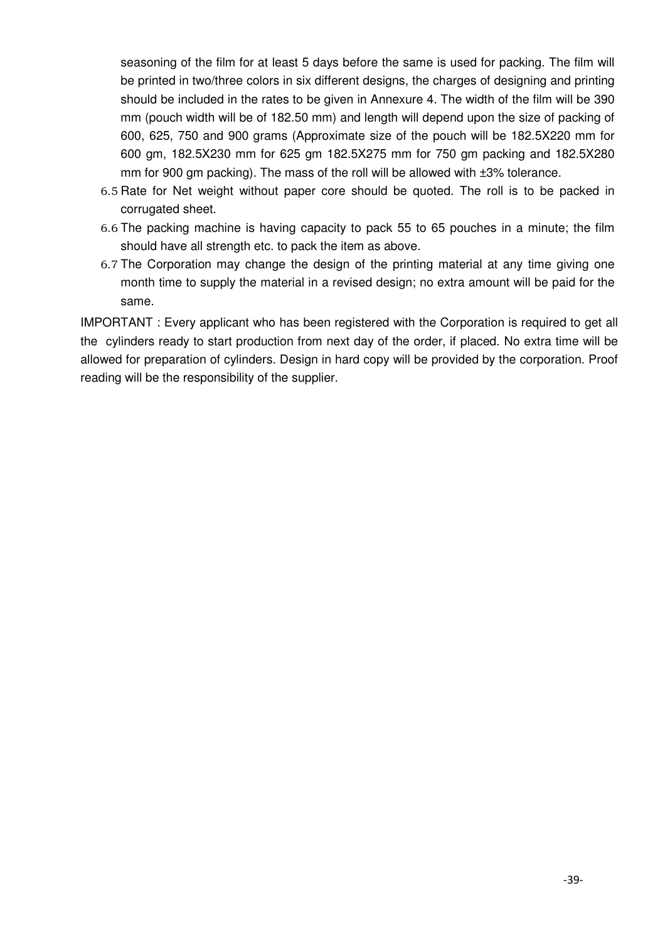seasoning of the film for at least 5 days before the same is used for packing. The film will be printed in two/three colors in six different designs, the charges of designing and printing should be included in the rates to be given in Annexure 4. The width of the film will be 390 mm (pouch width will be of 182.50 mm) and length will depend upon the size of packing of 600, 625, 750 and 900 grams (Approximate size of the pouch will be 182.5X220 mm for 600 gm, 182.5X230 mm for 625 gm 182.5X275 mm for 750 gm packing and 182.5X280 mm for 900 gm packing). The mass of the roll will be allowed with  $±3%$  tolerance.

- 6.5 Rate for Net weight without paper core should be quoted. The roll is to be packed in corrugated sheet.
- 6.6 The packing machine is having capacity to pack 55 to 65 pouches in a minute; the film should have all strength etc. to pack the item as above.
- 6.7 The Corporation may change the design of the printing material at any time giving one month time to supply the material in a revised design; no extra amount will be paid for the same.

IMPORTANT : Every applicant who has been registered with the Corporation is required to get all the cylinders ready to start production from next day of the order, if placed. No extra time will be allowed for preparation of cylinders. Design in hard copy will be provided by the corporation. Proof reading will be the responsibility of the supplier.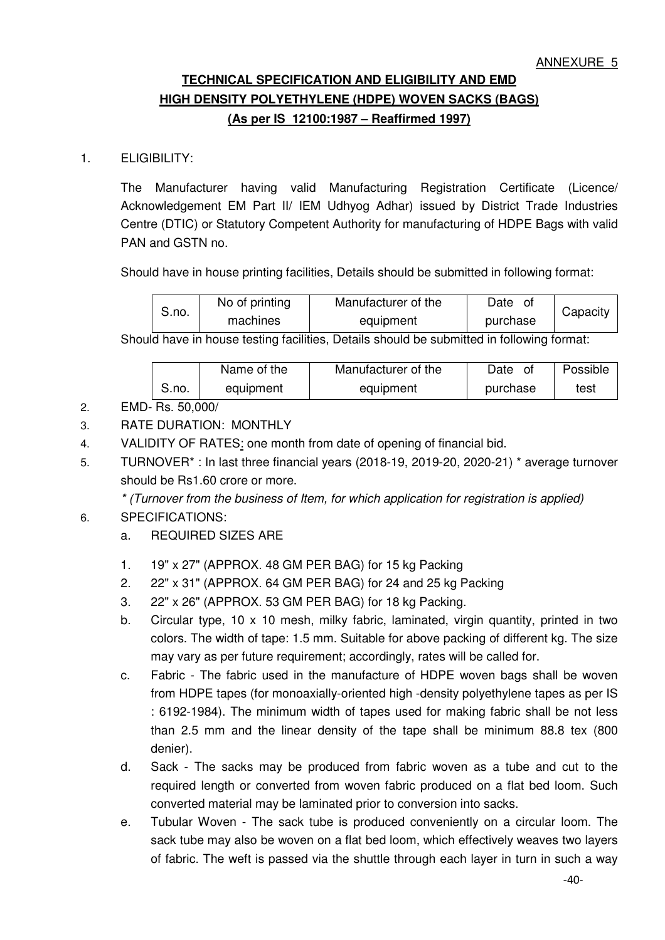# **TECHNICAL SPECIFICATION AND ELIGIBILITY AND EMD HIGH DENSITY POLYETHYLENE (HDPE) WOVEN SACKS (BAGS) (As per IS 12100:1987 – Reaffirmed 1997)**

# 1. ELIGIBILITY:

The Manufacturer having valid Manufacturing Registration Certificate (Licence/ Acknowledgement EM Part II/ IEM Udhyog Adhar) issued by District Trade Industries Centre (DTIC) or Statutory Competent Authority for manufacturing of HDPE Bags with valid PAN and GSTN no.

Should have in house printing facilities, Details should be submitted in following format:

| S.no. | No of printing | Manufacturer of the | Date     | Capacity |
|-------|----------------|---------------------|----------|----------|
|       | machines       | equipment           | purchase |          |

Should have in house testing facilities, Details should be submitted in following format:

|       | Name of the | Manufacturer of the | Date     | Possible |
|-------|-------------|---------------------|----------|----------|
| S.no. | equipment   | equipment           | purchase | test     |

# 2. EMD- Rs. 50,000/

- 3. RATE DURATION: MONTHLY
- 4. VALIDITY OF RATES: one month from date of opening of financial bid.
- 5. TURNOVER\* : In last three financial years (2018-19, 2019-20, 2020-21) \* average turnover should be Rs1.60 crore or more.

*\* (Turnover from the business of Item, for which application for registration is applied)* 

# 6. SPECIFICATIONS:

- a. REQUIRED SIZES ARE
- 1. 19" x 27" (APPROX. 48 GM PER BAG) for 15 kg Packing
- 2. 22" x 31" (APPROX. 64 GM PER BAG) for 24 and 25 kg Packing
- 3. 22" x 26" (APPROX. 53 GM PER BAG) for 18 kg Packing.
- b. Circular type, 10 x 10 mesh, milky fabric, laminated, virgin quantity, printed in two colors. The width of tape: 1.5 mm. Suitable for above packing of different kg. The size may vary as per future requirement; accordingly, rates will be called for.
- c. Fabric The fabric used in the manufacture of HDPE woven bags shall be woven from HDPE tapes (for monoaxially-oriented high -density polyethylene tapes as per IS : 6192-1984). The minimum width of tapes used for making fabric shall be not less than 2.5 mm and the linear density of the tape shall be minimum 88.8 tex (800 denier).
- d. Sack The sacks may be produced from fabric woven as a tube and cut to the required length or converted from woven fabric produced on a flat bed loom. Such converted material may be laminated prior to conversion into sacks.
- e. Tubular Woven The sack tube is produced conveniently on a circular loom. The sack tube may also be woven on a flat bed loom, which effectively weaves two layers of fabric. The weft is passed via the shuttle through each layer in turn in such a way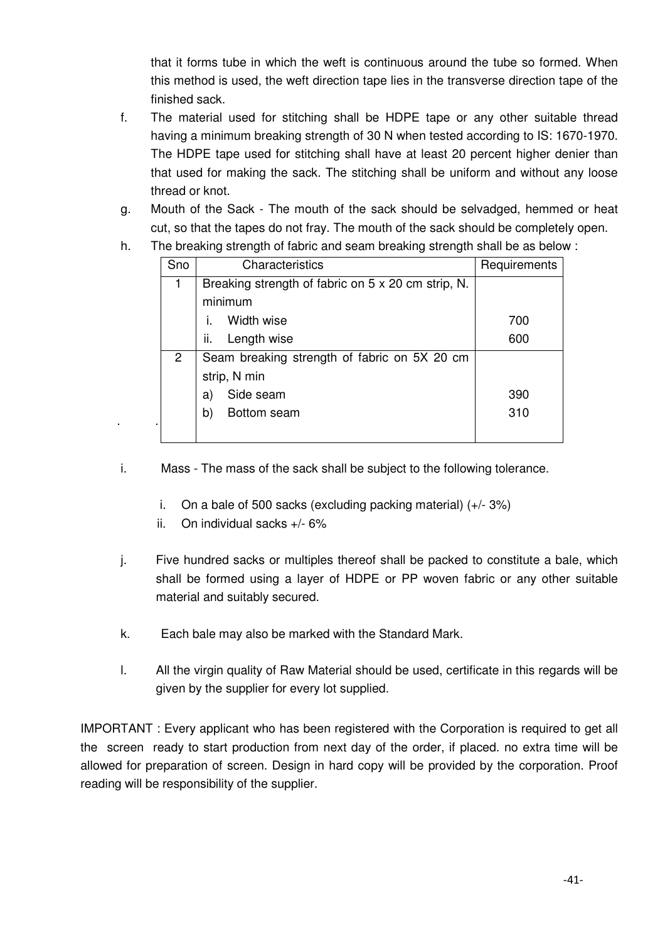that it forms tube in which the weft is continuous around the tube so formed. When this method is used, the weft direction tape lies in the transverse direction tape of the finished sack.

- f. The material used for stitching shall be HDPE tape or any other suitable thread having a minimum breaking strength of 30 N when tested according to IS: 1670-1970. The HDPE tape used for stitching shall have at least 20 percent higher denier than that used for making the sack. The stitching shall be uniform and without any loose thread or knot.
- g. Mouth of the Sack The mouth of the sack should be selvadged, hemmed or heat cut, so that the tapes do not fray. The mouth of the sack should be completely open.
- h. The breaking strength of fabric and seam breaking strength shall be as below :

| Sno          | Characteristics                                    | Requirements |
|--------------|----------------------------------------------------|--------------|
|              | Breaking strength of fabric on 5 x 20 cm strip, N. |              |
|              | minimum                                            |              |
|              | Width wise                                         | 700          |
|              | ii.<br>Length wise                                 | 600          |
| $\mathbf{2}$ | Seam breaking strength of fabric on 5X 20 cm       |              |
|              | strip, N min                                       |              |
|              | Side seam<br>a)                                    | 390          |
|              | b)<br>Bottom seam                                  | 310          |
|              |                                                    |              |

- i. Mass The mass of the sack shall be subject to the following tolerance.
	- i. On a bale of 500 sacks (excluding packing material) (+/- 3%)
	- ii. On individual sacks +/- 6%
- j. Five hundred sacks or multiples thereof shall be packed to constitute a bale, which shall be formed using a layer of HDPE or PP woven fabric or any other suitable material and suitably secured.
- k. Each bale may also be marked with the Standard Mark.
- l. All the virgin quality of Raw Material should be used, certificate in this regards will be given by the supplier for every lot supplied.

IMPORTANT : Every applicant who has been registered with the Corporation is required to get all the screen ready to start production from next day of the order, if placed. no extra time will be allowed for preparation of screen. Design in hard copy will be provided by the corporation. Proof reading will be responsibility of the supplier.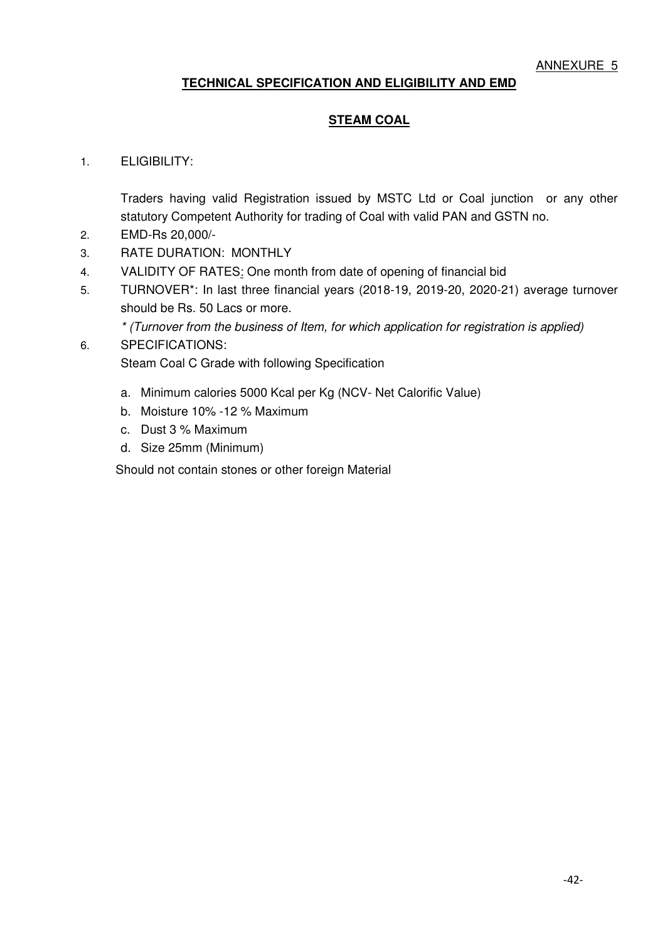# **TECHNICAL SPECIFICATION AND ELIGIBILITY AND EMD**

## **STEAM COAL**

#### 1. ELIGIBILITY:

Traders having valid Registration issued by MSTC Ltd or Coal junction or any other statutory Competent Authority for trading of Coal with valid PAN and GSTN no.

- 2. EMD-Rs 20,000/-
- 3. RATE DURATION: MONTHLY
- 4. VALIDITY OF RATES: One month from date of opening of financial bid
- 5. TURNOVER\*: In last three financial years (2018-19, 2019-20, 2020-21) average turnover should be Rs. 50 Lacs or more.
	- *\* (Turnover from the business of Item, for which application for registration is applied)*

# 6. SPECIFICATIONS: Steam Coal C Grade with following Specification

- a. Minimum calories 5000 Kcal per Kg (NCV- Net Calorific Value)
- b. Moisture 10% -12 % Maximum
- c. Dust 3 % Maximum
- d. Size 25mm (Minimum)

Should not contain stones or other foreign Material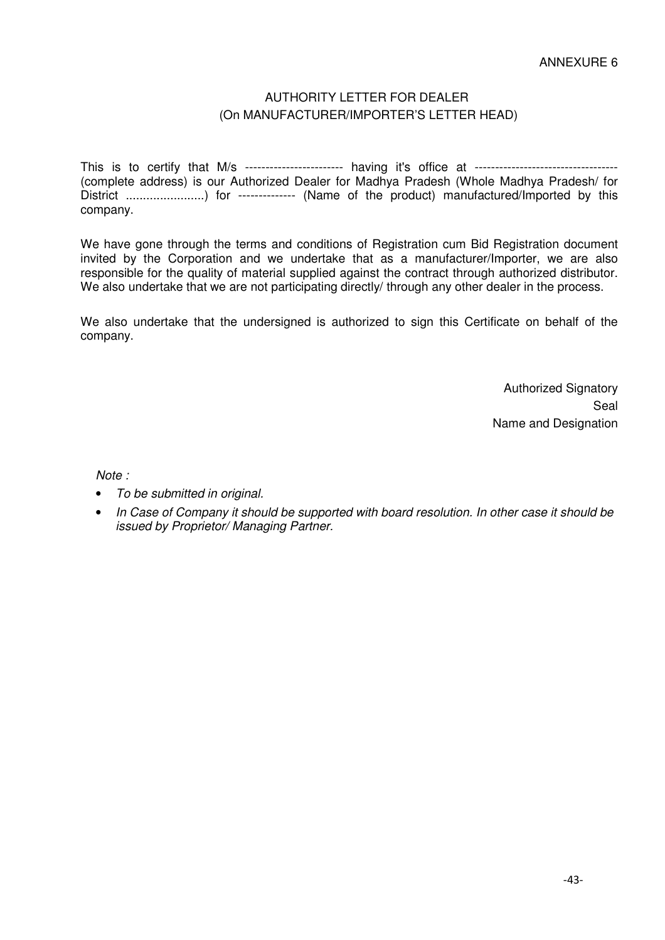## AUTHORITY LETTER FOR DEALER (On MANUFACTURER/IMPORTER'S LETTER HEAD)

This is to certify that M/s ------------------------ having it's office at ----------------------------------- (complete address) is our Authorized Dealer for Madhya Pradesh (Whole Madhya Pradesh/ for District .......................) for -------------- (Name of the product) manufactured/Imported by this company.

We have gone through the terms and conditions of Registration cum Bid Registration document invited by the Corporation and we undertake that as a manufacturer/Importer, we are also responsible for the quality of material supplied against the contract through authorized distributor. We also undertake that we are not participating directly/ through any other dealer in the process.

We also undertake that the undersigned is authorized to sign this Certificate on behalf of the company.

> Authorized Signatory Seal Name and Designation

*Note :* 

- *To be submitted in original.*
- *In Case of Company it should be supported with board resolution. In other case it should be issued by Proprietor/ Managing Partner.*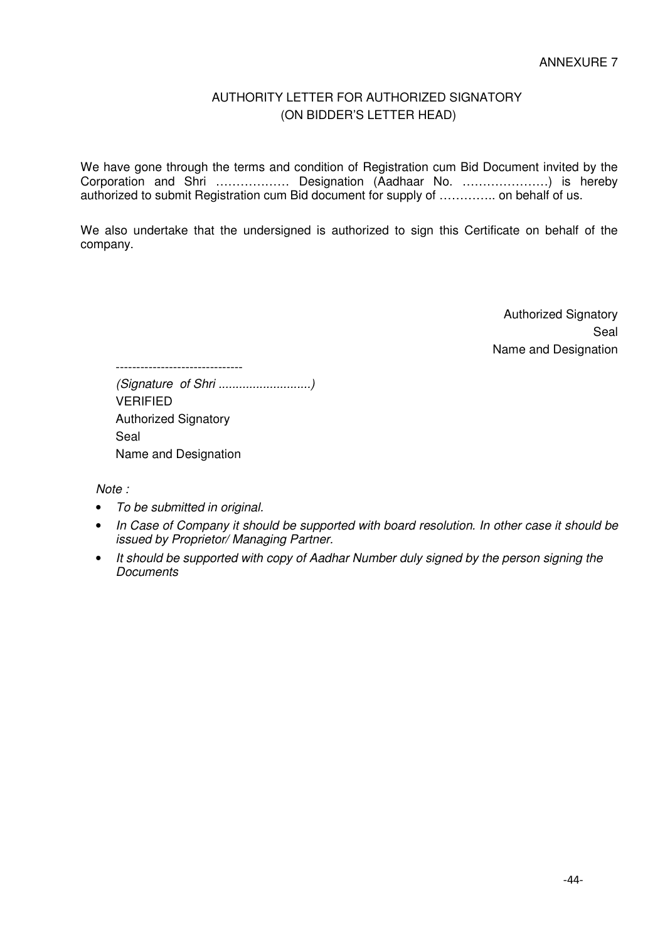## AUTHORITY LETTER FOR AUTHORIZED SIGNATORY (ON BIDDER'S LETTER HEAD)

We have gone through the terms and condition of Registration cum Bid Document invited by the Corporation and Shri ……………… Designation (Aadhaar No. …………………) is hereby authorized to submit Registration cum Bid document for supply of ………….. on behalf of us.

We also undertake that the undersigned is authorized to sign this Certificate on behalf of the company.

> Authorized Signatory Seal Name and Designation

------------------------------- *(Signature of Shri ...........................)*  VERIFIED Authorized Signatory Seal Name and Designation

*Note :* 

- *To be submitted in original.*
- *In Case of Company it should be supported with board resolution. In other case it should be issued by Proprietor/ Managing Partner.*
- *It should be supported with copy of Aadhar Number duly signed by the person signing the Documents*